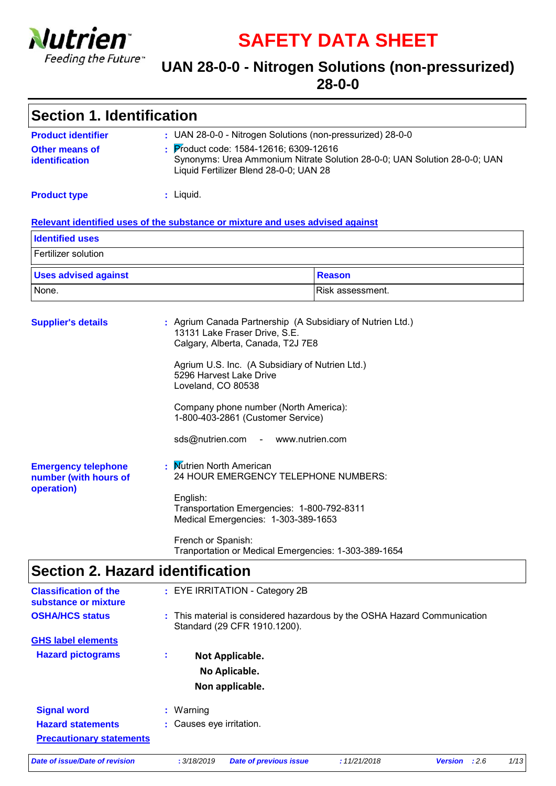

**SAFETY DATA SHEET**

### **UAN 28-0-0 - Nitrogen Solutions (non-pressurized) 28-0-0**

| <b>Section 1. Identification</b>                                     |                                                                                                                                                                                                                                                                                                                                                                                      |  |  |
|----------------------------------------------------------------------|--------------------------------------------------------------------------------------------------------------------------------------------------------------------------------------------------------------------------------------------------------------------------------------------------------------------------------------------------------------------------------------|--|--|
| <b>Product identifier</b><br><b>Other means of</b><br>identification | : UAN 28-0-0 - Nitrogen Solutions (non-pressurized) 28-0-0<br>: Product code: 1584-12616; 6309-12616<br>Synonyms: Urea Ammonium Nitrate Solution 28-0-0; UAN Solution 28-0-0; UAN<br>Liquid Fertilizer Blend 28-0-0; UAN 28                                                                                                                                                          |  |  |
| <b>Product type</b>                                                  | : Liquid.                                                                                                                                                                                                                                                                                                                                                                            |  |  |
|                                                                      | Relevant identified uses of the substance or mixture and uses advised against                                                                                                                                                                                                                                                                                                        |  |  |
| <b>Identified uses</b>                                               |                                                                                                                                                                                                                                                                                                                                                                                      |  |  |
| Fertilizer solution                                                  |                                                                                                                                                                                                                                                                                                                                                                                      |  |  |
| <b>Uses advised against</b>                                          | <b>Reason</b>                                                                                                                                                                                                                                                                                                                                                                        |  |  |
| None.                                                                | Risk assessment.                                                                                                                                                                                                                                                                                                                                                                     |  |  |
| <b>Supplier's details</b>                                            | : Agrium Canada Partnership (A Subsidiary of Nutrien Ltd.)<br>13131 Lake Fraser Drive, S.E.<br>Calgary, Alberta, Canada, T2J 7E8<br>Agrium U.S. Inc. (A Subsidiary of Nutrien Ltd.)<br>5296 Harvest Lake Drive<br>Loveland, CO 80538<br>Company phone number (North America):<br>1-800-403-2861 (Customer Service)<br>sds@nutrien.com<br>www.nutrien.com<br><b>Contract Contract</b> |  |  |
| <b>Emergency telephone</b><br>number (with hours of<br>operation)    | : Mutrien North American<br>24 HOUR EMERGENCY TELEPHONE NUMBERS:<br>English:<br>Transportation Emergencies: 1-800-792-8311<br>Medical Emergencies: 1-303-389-1653<br>French or Spanish:<br>Tranportation or Medical Emergencies: 1-303-389-1654                                                                                                                                      |  |  |
| <b>Section 2. Hazard identification</b>                              |                                                                                                                                                                                                                                                                                                                                                                                      |  |  |

| <b>Classification of the</b><br>: EYE IRRITATION - Category 2B<br>substance or mixture<br>: This material is considered hazardous by the OSHA Hazard Communication<br><b>OSHA/HCS status</b><br>Standard (29 CFR 1910.1200).<br><b>GHS label elements</b><br><b>Hazard pictograms</b><br>÷<br>Not Applicable.<br>No Aplicable.<br>Non applicable.<br><b>Signal word</b><br>: Warning<br>: Causes eye irritation.<br><b>Hazard statements</b><br><b>Precautionary statements</b><br>Date of issue/Date of revision<br>: 3/18/2019<br><b>Date of previous issue</b><br>:11/21/2018<br>:2.6<br><b>Version</b> |  |      |
|------------------------------------------------------------------------------------------------------------------------------------------------------------------------------------------------------------------------------------------------------------------------------------------------------------------------------------------------------------------------------------------------------------------------------------------------------------------------------------------------------------------------------------------------------------------------------------------------------------|--|------|
|                                                                                                                                                                                                                                                                                                                                                                                                                                                                                                                                                                                                            |  |      |
|                                                                                                                                                                                                                                                                                                                                                                                                                                                                                                                                                                                                            |  |      |
|                                                                                                                                                                                                                                                                                                                                                                                                                                                                                                                                                                                                            |  |      |
|                                                                                                                                                                                                                                                                                                                                                                                                                                                                                                                                                                                                            |  |      |
|                                                                                                                                                                                                                                                                                                                                                                                                                                                                                                                                                                                                            |  |      |
|                                                                                                                                                                                                                                                                                                                                                                                                                                                                                                                                                                                                            |  |      |
|                                                                                                                                                                                                                                                                                                                                                                                                                                                                                                                                                                                                            |  |      |
|                                                                                                                                                                                                                                                                                                                                                                                                                                                                                                                                                                                                            |  |      |
|                                                                                                                                                                                                                                                                                                                                                                                                                                                                                                                                                                                                            |  |      |
|                                                                                                                                                                                                                                                                                                                                                                                                                                                                                                                                                                                                            |  | 1/13 |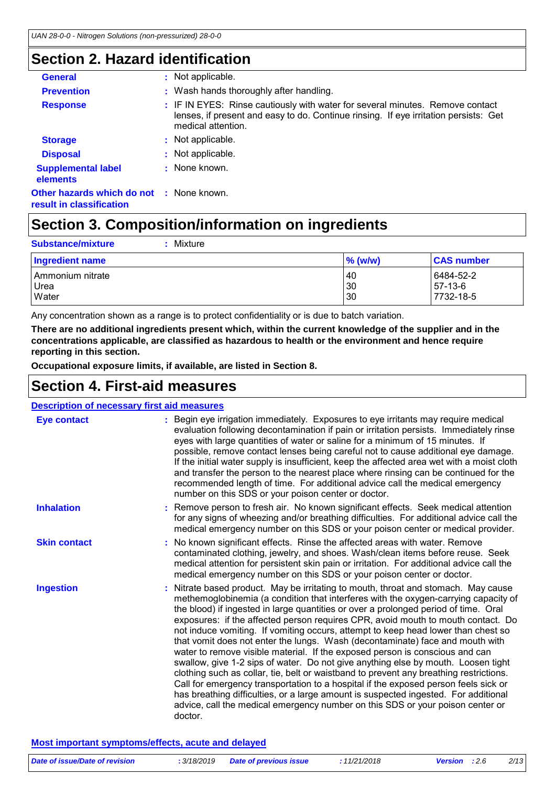## **Section 2. Hazard identification**

| <b>General</b>                                                              | : Not applicable.                                                                                                                                                                           |
|-----------------------------------------------------------------------------|---------------------------------------------------------------------------------------------------------------------------------------------------------------------------------------------|
| <b>Prevention</b>                                                           | : Wash hands thoroughly after handling.                                                                                                                                                     |
| <b>Response</b>                                                             | : IF IN EYES: Rinse cautiously with water for several minutes. Remove contact<br>lenses, if present and easy to do. Continue rinsing. If eye irritation persists: Get<br>medical attention. |
| <b>Storage</b>                                                              | : Not applicable.                                                                                                                                                                           |
| <b>Disposal</b>                                                             | : Not applicable.                                                                                                                                                                           |
| <b>Supplemental label</b><br>elements                                       | : None known.                                                                                                                                                                               |
| <b>Other hazards which do not : None known.</b><br>result in classification |                                                                                                                                                                                             |

## **Section 3. Composition/information on ingredients**

| Mixture<br><b>Substance/mixture</b> |            |                   |
|-------------------------------------|------------|-------------------|
| Ingredient name                     | $\%$ (w/w) | <b>CAS number</b> |
| Ammonium nitrate                    | 40         | 6484-52-2         |
| Urea                                | 30         | 57-13-6           |
| Water                               | 30         | 7732-18-5         |

Any concentration shown as a range is to protect confidentiality or is due to batch variation.

**There are no additional ingredients present which, within the current knowledge of the supplier and in the concentrations applicable, are classified as hazardous to health or the environment and hence require reporting in this section.**

**Occupational exposure limits, if available, are listed in Section 8.**

### **Section 4. First-aid measures**

| <b>Section 4. First-aid measures</b>               |                                                                                                                                                                                                                                                                                                                                                                                                                                                                                                                                                                                                                                                                                                                                                                                                                                                                                                                                                                                                                                                                    |  |  |
|----------------------------------------------------|--------------------------------------------------------------------------------------------------------------------------------------------------------------------------------------------------------------------------------------------------------------------------------------------------------------------------------------------------------------------------------------------------------------------------------------------------------------------------------------------------------------------------------------------------------------------------------------------------------------------------------------------------------------------------------------------------------------------------------------------------------------------------------------------------------------------------------------------------------------------------------------------------------------------------------------------------------------------------------------------------------------------------------------------------------------------|--|--|
| <b>Description of necessary first aid measures</b> |                                                                                                                                                                                                                                                                                                                                                                                                                                                                                                                                                                                                                                                                                                                                                                                                                                                                                                                                                                                                                                                                    |  |  |
| <b>Eye contact</b>                                 | : Begin eye irrigation immediately. Exposures to eye irritants may require medical<br>evaluation following decontamination if pain or irritation persists. Immediately rinse<br>eyes with large quantities of water or saline for a minimum of 15 minutes. If<br>possible, remove contact lenses being careful not to cause additional eye damage.<br>If the initial water supply is insufficient, keep the affected area wet with a moist cloth<br>and transfer the person to the nearest place where rinsing can be continued for the<br>recommended length of time. For additional advice call the medical emergency<br>number on this SDS or your poison center or doctor.                                                                                                                                                                                                                                                                                                                                                                                     |  |  |
| <b>Inhalation</b>                                  | : Remove person to fresh air. No known significant effects. Seek medical attention<br>for any signs of wheezing and/or breathing difficulties. For additional advice call the<br>medical emergency number on this SDS or your poison center or medical provider.                                                                                                                                                                                                                                                                                                                                                                                                                                                                                                                                                                                                                                                                                                                                                                                                   |  |  |
| <b>Skin contact</b>                                | No known significant effects. Rinse the affected areas with water. Remove<br>contaminated clothing, jewelry, and shoes. Wash/clean items before reuse. Seek<br>medical attention for persistent skin pain or irritation. For additional advice call the<br>medical emergency number on this SDS or your poison center or doctor.                                                                                                                                                                                                                                                                                                                                                                                                                                                                                                                                                                                                                                                                                                                                   |  |  |
| <b>Ingestion</b>                                   | Nitrate based product. May be irritating to mouth, throat and stomach. May cause<br>methemoglobinemia (a condition that interferes with the oxygen-carrying capacity of<br>the blood) if ingested in large quantities or over a prolonged period of time. Oral<br>exposures: if the affected person requires CPR, avoid mouth to mouth contact. Do<br>not induce vomiting. If vomiting occurs, attempt to keep head lower than chest so<br>that vomit does not enter the lungs. Wash (decontaminate) face and mouth with<br>water to remove visible material. If the exposed person is conscious and can<br>swallow, give 1-2 sips of water. Do not give anything else by mouth. Loosen tight<br>clothing such as collar, tie, belt or waistband to prevent any breathing restrictions.<br>Call for emergency transportation to a hospital if the exposed person feels sick or<br>has breathing difficulties, or a large amount is suspected ingested. For additional<br>advice, call the medical emergency number on this SDS or your poison center or<br>doctor. |  |  |
|                                                    | Most important symptoms/effects, acute and delayed                                                                                                                                                                                                                                                                                                                                                                                                                                                                                                                                                                                                                                                                                                                                                                                                                                                                                                                                                                                                                 |  |  |
| Date of issue/Date of revision                     | 2/13<br>: 3/18/2019<br><b>Date of previous issue</b><br>:11/21/2018<br><b>Version</b><br>:2.6                                                                                                                                                                                                                                                                                                                                                                                                                                                                                                                                                                                                                                                                                                                                                                                                                                                                                                                                                                      |  |  |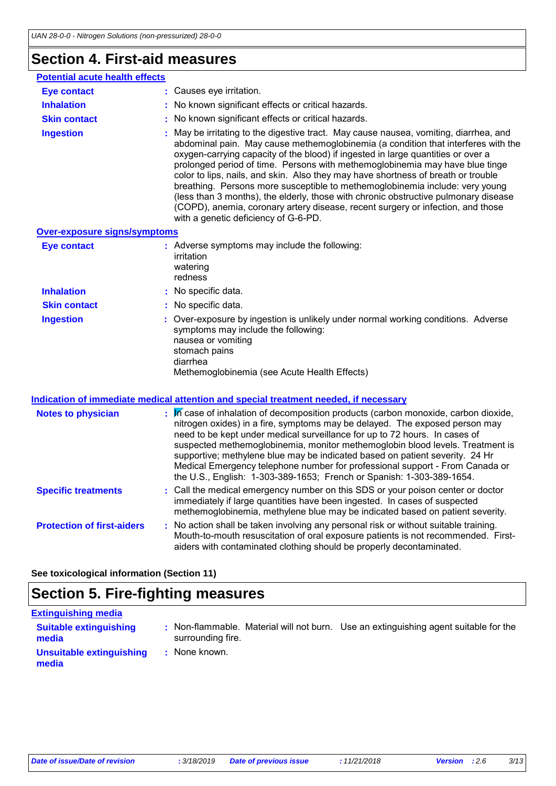## **Section 4. First-aid measures**

| <b>Potential acute health effects</b><br>: Causes eye irritation.<br><b>Eye contact</b><br><b>Inhalation</b><br>No known significant effects or critical hazards.<br>: No known significant effects or critical hazards.<br><b>Skin contact</b><br>: May be irritating to the digestive tract. May cause nausea, vomiting, diarrhea, and<br><b>Ingestion</b><br>oxygen-carrying capacity of the blood) if ingested in large quantities or over a<br>prolonged period of time. Persons with methemoglobinemia may have blue tinge<br>color to lips, nails, and skin. Also they may have shortness of breath or trouble<br>breathing. Persons more susceptible to methemoglobinemia include: very young<br>(COPD), anemia, coronary artery disease, recent surgery or infection, and those<br>with a genetic deficiency of G-6-PD.<br>Over-exposure signs/symptoms<br>: Adverse symptoms may include the following:<br><b>Eye contact</b><br>irritation<br>watering<br>redness<br><b>Inhalation</b><br>: No specific data.<br>: No specific data.<br><b>Skin contact</b><br>: Over-exposure by ingestion is unlikely under normal working conditions. Adverse<br><b>Ingestion</b><br>symptoms may include the following:<br>nausea or vomiting<br>stomach pains<br>diarrhea<br>Methemoglobinemia (see Acute Health Effects) |  |                                                                                                                                                                          |
|---------------------------------------------------------------------------------------------------------------------------------------------------------------------------------------------------------------------------------------------------------------------------------------------------------------------------------------------------------------------------------------------------------------------------------------------------------------------------------------------------------------------------------------------------------------------------------------------------------------------------------------------------------------------------------------------------------------------------------------------------------------------------------------------------------------------------------------------------------------------------------------------------------------------------------------------------------------------------------------------------------------------------------------------------------------------------------------------------------------------------------------------------------------------------------------------------------------------------------------------------------------------------------------------------------------------------|--|--------------------------------------------------------------------------------------------------------------------------------------------------------------------------|
|                                                                                                                                                                                                                                                                                                                                                                                                                                                                                                                                                                                                                                                                                                                                                                                                                                                                                                                                                                                                                                                                                                                                                                                                                                                                                                                           |  |                                                                                                                                                                          |
|                                                                                                                                                                                                                                                                                                                                                                                                                                                                                                                                                                                                                                                                                                                                                                                                                                                                                                                                                                                                                                                                                                                                                                                                                                                                                                                           |  |                                                                                                                                                                          |
|                                                                                                                                                                                                                                                                                                                                                                                                                                                                                                                                                                                                                                                                                                                                                                                                                                                                                                                                                                                                                                                                                                                                                                                                                                                                                                                           |  |                                                                                                                                                                          |
|                                                                                                                                                                                                                                                                                                                                                                                                                                                                                                                                                                                                                                                                                                                                                                                                                                                                                                                                                                                                                                                                                                                                                                                                                                                                                                                           |  |                                                                                                                                                                          |
|                                                                                                                                                                                                                                                                                                                                                                                                                                                                                                                                                                                                                                                                                                                                                                                                                                                                                                                                                                                                                                                                                                                                                                                                                                                                                                                           |  | abdominal pain. May cause methemoglobinemia (a condition that interferes with the<br>(less than 3 months), the elderly, those with chronic obstructive pulmonary disease |
|                                                                                                                                                                                                                                                                                                                                                                                                                                                                                                                                                                                                                                                                                                                                                                                                                                                                                                                                                                                                                                                                                                                                                                                                                                                                                                                           |  |                                                                                                                                                                          |
|                                                                                                                                                                                                                                                                                                                                                                                                                                                                                                                                                                                                                                                                                                                                                                                                                                                                                                                                                                                                                                                                                                                                                                                                                                                                                                                           |  |                                                                                                                                                                          |
|                                                                                                                                                                                                                                                                                                                                                                                                                                                                                                                                                                                                                                                                                                                                                                                                                                                                                                                                                                                                                                                                                                                                                                                                                                                                                                                           |  |                                                                                                                                                                          |
|                                                                                                                                                                                                                                                                                                                                                                                                                                                                                                                                                                                                                                                                                                                                                                                                                                                                                                                                                                                                                                                                                                                                                                                                                                                                                                                           |  |                                                                                                                                                                          |
|                                                                                                                                                                                                                                                                                                                                                                                                                                                                                                                                                                                                                                                                                                                                                                                                                                                                                                                                                                                                                                                                                                                                                                                                                                                                                                                           |  |                                                                                                                                                                          |

#### **Indication of immediate medical attention and special treatment needed, if necessary**

| <b>Notes to physician</b>         | $\mathbb{R}$ M case of inhalation of decomposition products (carbon monoxide, carbon dioxide,<br>nitrogen oxides) in a fire, symptoms may be delayed. The exposed person may<br>need to be kept under medical surveillance for up to 72 hours. In cases of<br>suspected methemoglobinemia, monitor methemoglobin blood levels. Treatment is<br>supportive; methylene blue may be indicated based on patient severity. 24 Hr<br>Medical Emergency telephone number for professional support - From Canada or<br>the U.S., English: 1-303-389-1653; French or Spanish: 1-303-389-1654. |
|-----------------------------------|--------------------------------------------------------------------------------------------------------------------------------------------------------------------------------------------------------------------------------------------------------------------------------------------------------------------------------------------------------------------------------------------------------------------------------------------------------------------------------------------------------------------------------------------------------------------------------------|
| <b>Specific treatments</b>        | : Call the medical emergency number on this SDS or your poison center or doctor<br>immediately if large quantities have been ingested. In cases of suspected<br>methemoglobinemia, methylene blue may be indicated based on patient severity.                                                                                                                                                                                                                                                                                                                                        |
| <b>Protection of first-aiders</b> | : No action shall be taken involving any personal risk or without suitable training.<br>Mouth-to-mouth resuscitation of oral exposure patients is not recommended. First-<br>aiders with contaminated clothing should be properly decontaminated.                                                                                                                                                                                                                                                                                                                                    |

**See toxicological information (Section 11)**

## **Section 5. Fire-fighting measures**

### **Extinguishing media**

| <b>Suitable extinguishing</b><br>media | surrounding fire. | Non-flammable. Material will not burn. Use an extinguishing agent suitable for the |
|----------------------------------------|-------------------|------------------------------------------------------------------------------------|
| Unsuitable extinguishing<br>media      | None known.       |                                                                                    |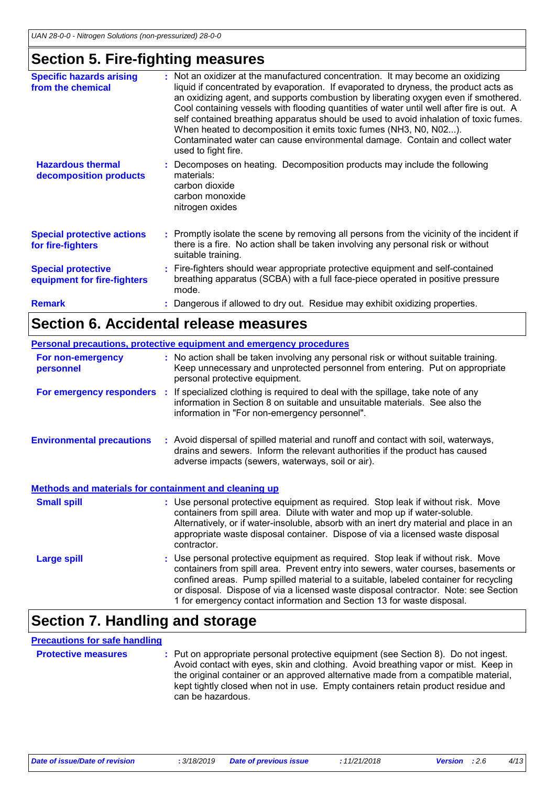## **Section 5. Fire-fighting measures**

| <b>Specific hazards arising</b><br>from the chemical     |    | : Not an oxidizer at the manufactured concentration. It may become an oxidizing<br>liquid if concentrated by evaporation. If evaporated to dryness, the product acts as<br>an oxidizing agent, and supports combustion by liberating oxygen even if smothered.<br>Cool containing vessels with flooding quantities of water until well after fire is out. A<br>self contained breathing apparatus should be used to avoid inhalation of toxic fumes.<br>When heated to decomposition it emits toxic fumes (NH3, N0, N02).<br>Contaminated water can cause environmental damage. Contain and collect water<br>used to fight fire. |
|----------------------------------------------------------|----|----------------------------------------------------------------------------------------------------------------------------------------------------------------------------------------------------------------------------------------------------------------------------------------------------------------------------------------------------------------------------------------------------------------------------------------------------------------------------------------------------------------------------------------------------------------------------------------------------------------------------------|
| <b>Hazardous thermal</b><br>decomposition products       | ÷. | Decomposes on heating. Decomposition products may include the following<br>materials:<br>carbon dioxide<br>carbon monoxide<br>nitrogen oxides                                                                                                                                                                                                                                                                                                                                                                                                                                                                                    |
| <b>Special protective actions</b><br>for fire-fighters   |    | : Promptly isolate the scene by removing all persons from the vicinity of the incident if<br>there is a fire. No action shall be taken involving any personal risk or without<br>suitable training.                                                                                                                                                                                                                                                                                                                                                                                                                              |
| <b>Special protective</b><br>equipment for fire-fighters |    | : Fire-fighters should wear appropriate protective equipment and self-contained<br>breathing apparatus (SCBA) with a full face-piece operated in positive pressure<br>mode.                                                                                                                                                                                                                                                                                                                                                                                                                                                      |
| <b>Remark</b>                                            |    | Dangerous if allowed to dry out. Residue may exhibit oxidizing properties.                                                                                                                                                                                                                                                                                                                                                                                                                                                                                                                                                       |

### **Section 6. Accidental release measures**

|                                                       | <b>Personal precautions, protective equipment and emergency procedures</b>                                                                                                                                                                                                                                                                                                                                                      |
|-------------------------------------------------------|---------------------------------------------------------------------------------------------------------------------------------------------------------------------------------------------------------------------------------------------------------------------------------------------------------------------------------------------------------------------------------------------------------------------------------|
| For non-emergency<br>personnel                        | : No action shall be taken involving any personal risk or without suitable training.<br>Keep unnecessary and unprotected personnel from entering. Put on appropriate<br>personal protective equipment.                                                                                                                                                                                                                          |
|                                                       | For emergency responders : If specialized clothing is required to deal with the spillage, take note of any<br>information in Section 8 on suitable and unsuitable materials. See also the<br>information in "For non-emergency personnel".                                                                                                                                                                                      |
| <b>Environmental precautions</b>                      | : Avoid dispersal of spilled material and runoff and contact with soil, waterways,<br>drains and sewers. Inform the relevant authorities if the product has caused<br>adverse impacts (sewers, waterways, soil or air).                                                                                                                                                                                                         |
| Methods and materials for containment and cleaning up |                                                                                                                                                                                                                                                                                                                                                                                                                                 |
| <b>Small spill</b>                                    | : Use personal protective equipment as required. Stop leak if without risk. Move<br>containers from spill area. Dilute with water and mop up if water-soluble.<br>Alternatively, or if water-insoluble, absorb with an inert dry material and place in an<br>appropriate waste disposal container. Dispose of via a licensed waste disposal<br>contractor.                                                                      |
| <b>Large spill</b>                                    | : Use personal protective equipment as required. Stop leak if without risk. Move<br>containers from spill area. Prevent entry into sewers, water courses, basements or<br>confined areas. Pump spilled material to a suitable, labeled container for recycling<br>or disposal. Dispose of via a licensed waste disposal contractor. Note: see Section<br>1 for emergency contact information and Section 13 for waste disposal. |

## **Section 7. Handling and storage**

### **Precautions for safe handling**

**Protective measures** : Put on appropriate personal protective equipment (see Section 8). Do not ingest. Avoid contact with eyes, skin and clothing. Avoid breathing vapor or mist. Keep in the original container or an approved alternative made from a compatible material, kept tightly closed when not in use. Empty containers retain product residue and can be hazardous.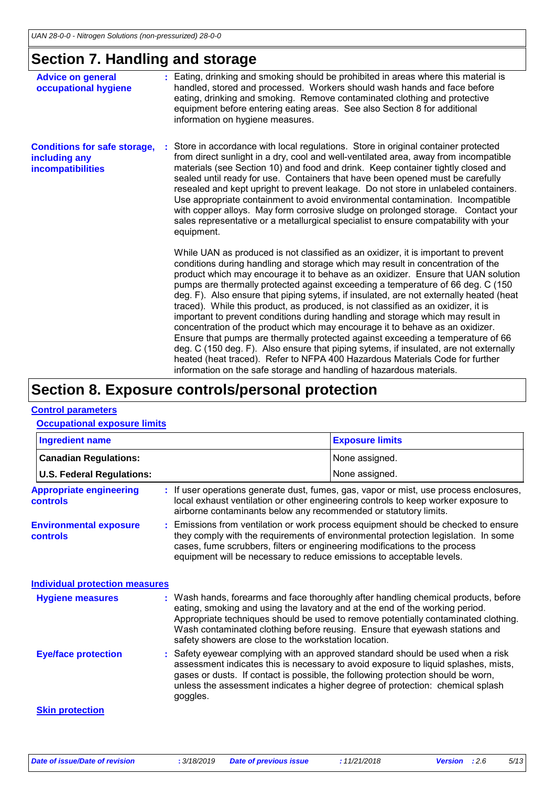### **Section 7. Handling and storage**

| <b>Advice on general</b><br>occupational hygiene                          | : Eating, drinking and smoking should be prohibited in areas where this material is<br>handled, stored and processed. Workers should wash hands and face before<br>eating, drinking and smoking. Remove contaminated clothing and protective<br>equipment before entering eating areas. See also Section 8 for additional<br>information on hygiene measures.                                                                                                                                                                                                                                                                                                                                                                                                                                                                                                                                                                                                                                                                         |
|---------------------------------------------------------------------------|---------------------------------------------------------------------------------------------------------------------------------------------------------------------------------------------------------------------------------------------------------------------------------------------------------------------------------------------------------------------------------------------------------------------------------------------------------------------------------------------------------------------------------------------------------------------------------------------------------------------------------------------------------------------------------------------------------------------------------------------------------------------------------------------------------------------------------------------------------------------------------------------------------------------------------------------------------------------------------------------------------------------------------------|
| <b>Conditions for safe storage,</b><br>including any<br>incompatibilities | : Store in accordance with local regulations. Store in original container protected<br>from direct sunlight in a dry, cool and well-ventilated area, away from incompatible<br>materials (see Section 10) and food and drink. Keep container tightly closed and<br>sealed until ready for use. Containers that have been opened must be carefully<br>resealed and kept upright to prevent leakage. Do not store in unlabeled containers.<br>Use appropriate containment to avoid environmental contamination. Incompatible<br>with copper alloys. May form corrosive sludge on prolonged storage. Contact your<br>sales representative or a metallurgical specialist to ensure compatability with your<br>equipment.                                                                                                                                                                                                                                                                                                                  |
|                                                                           | While UAN as produced is not classified as an oxidizer, it is important to prevent<br>conditions during handling and storage which may result in concentration of the<br>product which may encourage it to behave as an oxidizer. Ensure that UAN solution<br>pumps are thermally protected against exceeding a temperature of 66 deg. C (150)<br>deg. F). Also ensure that piping sytems, if insulated, are not externally heated (heat<br>traced). While this product, as produced, is not classified as an oxidizer, it is<br>important to prevent conditions during handling and storage which may result in<br>concentration of the product which may encourage it to behave as an oxidizer.<br>Ensure that pumps are thermally protected against exceeding a temperature of 66<br>deg. C (150 deg. F). Also ensure that piping sytems, if insulated, are not externally<br>heated (heat traced). Refer to NFPA 400 Hazardous Materials Code for further<br>information on the safe storage and handling of hazardous materials. |

### **Section 8. Exposure controls/personal protection**

#### **Control parameters**

#### **Occupational exposure limits**

| <b>Ingredient name</b>                     |                                                                                                                                                                                                                                                                                                                                 | <b>Exposure limits</b>                                                                                                                                                                                                                                                                                                                       |
|--------------------------------------------|---------------------------------------------------------------------------------------------------------------------------------------------------------------------------------------------------------------------------------------------------------------------------------------------------------------------------------|----------------------------------------------------------------------------------------------------------------------------------------------------------------------------------------------------------------------------------------------------------------------------------------------------------------------------------------------|
| <b>Canadian Regulations:</b>               |                                                                                                                                                                                                                                                                                                                                 | None assigned.                                                                                                                                                                                                                                                                                                                               |
| <b>U.S. Federal Regulations:</b>           |                                                                                                                                                                                                                                                                                                                                 | None assigned.                                                                                                                                                                                                                                                                                                                               |
| <b>Appropriate engineering</b><br>controls | airborne contaminants below any recommended or statutory limits.                                                                                                                                                                                                                                                                | : If user operations generate dust, fumes, gas, vapor or mist, use process enclosures,<br>local exhaust ventilation or other engineering controls to keep worker exposure to                                                                                                                                                                 |
| <b>Environmental exposure</b><br>controls  | : Emissions from ventilation or work process equipment should be checked to ensure<br>they comply with the requirements of environmental protection legislation. In some<br>cases, fume scrubbers, filters or engineering modifications to the process<br>equipment will be necessary to reduce emissions to acceptable levels. |                                                                                                                                                                                                                                                                                                                                              |
| <b>Individual protection measures</b>      |                                                                                                                                                                                                                                                                                                                                 |                                                                                                                                                                                                                                                                                                                                              |
| <b>Hygiene measures</b>                    | eating, smoking and using the lavatory and at the end of the working period.<br>safety showers are close to the workstation location.                                                                                                                                                                                           | : Wash hands, forearms and face thoroughly after handling chemical products, before<br>Appropriate techniques should be used to remove potentially contaminated clothing.<br>Wash contaminated clothing before reusing. Ensure that eyewash stations and                                                                                     |
| <b>Eye/face protection</b>                 | goggles.                                                                                                                                                                                                                                                                                                                        | : Safety eyewear complying with an approved standard should be used when a risk<br>assessment indicates this is necessary to avoid exposure to liquid splashes, mists,<br>gases or dusts. If contact is possible, the following protection should be worn,<br>unless the assessment indicates a higher degree of protection: chemical splash |
| <b>Skin protection</b>                     |                                                                                                                                                                                                                                                                                                                                 |                                                                                                                                                                                                                                                                                                                                              |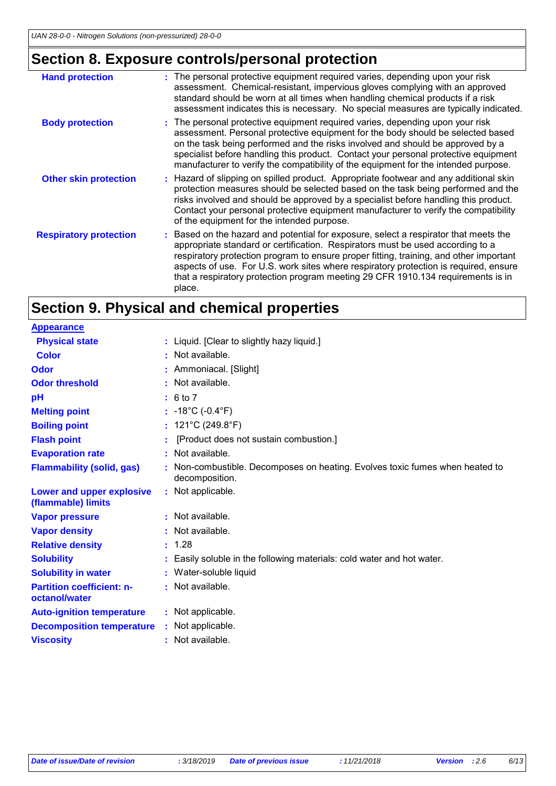## **Section 8. Exposure controls/personal protection**

| <b>Hand protection</b>        | : The personal protective equipment required varies, depending upon your risk<br>assessment. Chemical-resistant, impervious gloves complying with an approved<br>standard should be worn at all times when handling chemical products if a risk<br>assessment indicates this is necessary. No special measures are typically indicated.                                                                                                                |
|-------------------------------|--------------------------------------------------------------------------------------------------------------------------------------------------------------------------------------------------------------------------------------------------------------------------------------------------------------------------------------------------------------------------------------------------------------------------------------------------------|
| <b>Body protection</b>        | : The personal protective equipment required varies, depending upon your risk<br>assessment. Personal protective equipment for the body should be selected based<br>on the task being performed and the risks involved and should be approved by a<br>specialist before handling this product. Contact your personal protective equipment<br>manufacturer to verify the compatibility of the equipment for the intended purpose.                       |
| <b>Other skin protection</b>  | : Hazard of slipping on spilled product. Appropriate footwear and any additional skin<br>protection measures should be selected based on the task being performed and the<br>risks involved and should be approved by a specialist before handling this product.<br>Contact your personal protective equipment manufacturer to verify the compatibility<br>of the equipment for the intended purpose.                                                  |
| <b>Respiratory protection</b> | : Based on the hazard and potential for exposure, select a respirator that meets the<br>appropriate standard or certification. Respirators must be used according to a<br>respiratory protection program to ensure proper fitting, training, and other important<br>aspects of use. For U.S. work sites where respiratory protection is required, ensure<br>that a respiratory protection program meeting 29 CFR 1910.134 requirements is in<br>place. |

## **Section 9. Physical and chemical properties**

| <b>Appearance</b>                                 |                                                                                              |
|---------------------------------------------------|----------------------------------------------------------------------------------------------|
| <b>Physical state</b>                             | : Liquid. [Clear to slightly hazy liquid.]                                                   |
| <b>Color</b>                                      | : Not available.                                                                             |
| <b>Odor</b>                                       | : Ammoniacal. [Slight]                                                                       |
| <b>Odor threshold</b>                             | : Not available.                                                                             |
| pH                                                | : 6 to 7                                                                                     |
| <b>Melting point</b>                              | : $-18^{\circ}$ C ( $-0.4^{\circ}$ F)                                                        |
| <b>Boiling point</b>                              | : $121^{\circ}$ C (249.8 $^{\circ}$ F)                                                       |
| <b>Flash point</b>                                | [Product does not sustain combustion.]                                                       |
| <b>Evaporation rate</b>                           | Not available.                                                                               |
| <b>Flammability (solid, gas)</b>                  | Non-combustible. Decomposes on heating. Evolves toxic fumes when heated to<br>decomposition. |
| Lower and upper explosive<br>(flammable) limits   | : Not applicable.                                                                            |
| <b>Vapor pressure</b>                             | : Not available.                                                                             |
| <b>Vapor density</b>                              | Not available.                                                                               |
| <b>Relative density</b>                           | : 1.28                                                                                       |
| <b>Solubility</b>                                 | Easily soluble in the following materials: cold water and hot water.                         |
| <b>Solubility in water</b>                        | : Water-soluble liquid                                                                       |
| <b>Partition coefficient: n-</b><br>octanol/water | : Not available.                                                                             |
| <b>Auto-ignition temperature</b>                  | : Not applicable.                                                                            |
| <b>Decomposition temperature</b>                  | : Not applicable.                                                                            |
| <b>Viscosity</b>                                  | : Not available.                                                                             |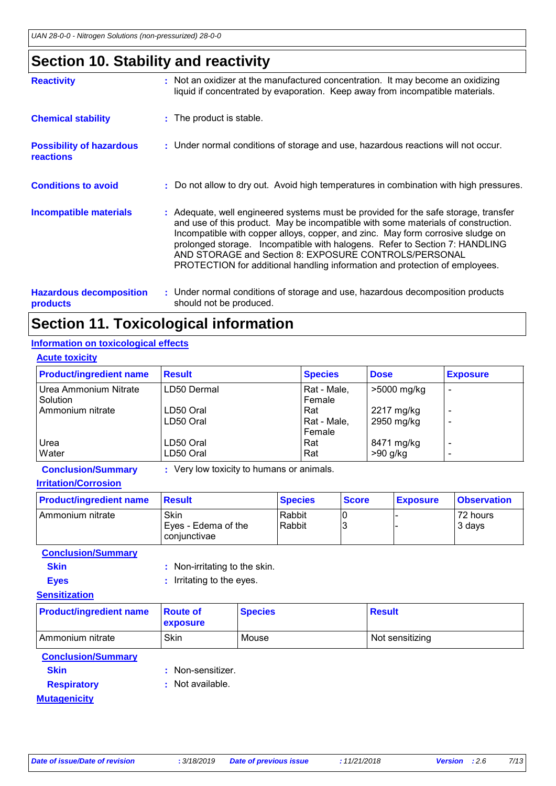## **Section 10. Stability and reactivity**

| <b>Reactivity</b>                                   | : Not an oxidizer at the manufactured concentration. It may become an oxidizing<br>liquid if concentrated by evaporation. Keep away from incompatible materials.                                                                                                                                                                                                                                                                                                                   |
|-----------------------------------------------------|------------------------------------------------------------------------------------------------------------------------------------------------------------------------------------------------------------------------------------------------------------------------------------------------------------------------------------------------------------------------------------------------------------------------------------------------------------------------------------|
| <b>Chemical stability</b>                           | : The product is stable.                                                                                                                                                                                                                                                                                                                                                                                                                                                           |
| <b>Possibility of hazardous</b><br><b>reactions</b> | : Under normal conditions of storage and use, hazardous reactions will not occur.                                                                                                                                                                                                                                                                                                                                                                                                  |
| <b>Conditions to avoid</b>                          | : Do not allow to dry out. Avoid high temperatures in combination with high pressures.                                                                                                                                                                                                                                                                                                                                                                                             |
| <b>Incompatible materials</b>                       | : Adequate, well engineered systems must be provided for the safe storage, transfer<br>and use of this product. May be incompatible with some materials of construction.<br>Incompatible with copper alloys, copper, and zinc. May form corrosive sludge on<br>prolonged storage. Incompatible with halogens. Refer to Section 7: HANDLING<br>AND STORAGE and Section 8: EXPOSURE CONTROLS/PERSONAL<br>PROTECTION for additional handling information and protection of employees. |
| <b>Hazardous decomposition</b><br><b>products</b>   | : Under normal conditions of storage and use, hazardous decomposition products<br>should not be produced.                                                                                                                                                                                                                                                                                                                                                                          |

## **Section 11. Toxicological information**

### **Information on toxicological effects**

| <b>Acute toxicity</b>             |                        |                               |                          |                                   |
|-----------------------------------|------------------------|-------------------------------|--------------------------|-----------------------------------|
| <b>Product/ingredient name</b>    | <b>Result</b>          | <b>Species</b>                | <b>Dose</b>              | <b>Exposure</b>                   |
| Urea Ammonium Nitrate<br>Solution | LD50 Dermal            | Rat - Male,<br>Female         | >5000 mg/kg              | $\overline{\phantom{a}}$          |
| Ammonium nitrate                  | LD50 Oral<br>LD50 Oral | Rat<br> Rat - Male,<br>Female | 2217 mg/kg<br>2950 mg/kg | $\qquad \qquad \blacksquare$<br>- |
| Urea<br>Water                     | LD50 Oral<br>LD50 Oral | Rat<br>Rat                    | 8471 mg/kg<br>$>90$ g/kg | $\overline{\phantom{a}}$<br>-     |

**Conclusion/Summary :** Very low toxicity to humans or animals.

**Irritation/Corrosion**

| <b>Product/ingredient name</b> | <b>Result</b>                               | <b>Species</b>   | <b>Score</b> | <b>Exposure</b> | <b>Observation</b> |
|--------------------------------|---------------------------------------------|------------------|--------------|-----------------|--------------------|
| l Ammonium nitrate             | Skin<br>Eyes - Edema of the<br>coniunctivae | Rabbit<br>Rabbit |              |                 | 72 hours<br>3 days |

**Conclusion/Summary**

| <b>Skin</b> | : Non-irritating to the skin. |
|-------------|-------------------------------|
| <b>Eyes</b> | : Irritating to the eyes.     |

### **Sensitization**

| <b>Product/ingredient name</b> | <b>Route of</b><br><b>exposure</b> | <b>Species</b> | Result          |
|--------------------------------|------------------------------------|----------------|-----------------|
| Ammonium nitrate               | Skin                               | Mouse          | Not sensitizing |

**Conclusion/Summary**

- 
- **Skin** : Non-sensitizer.
- **Respiratory :** Not available.

**Mutagenicity**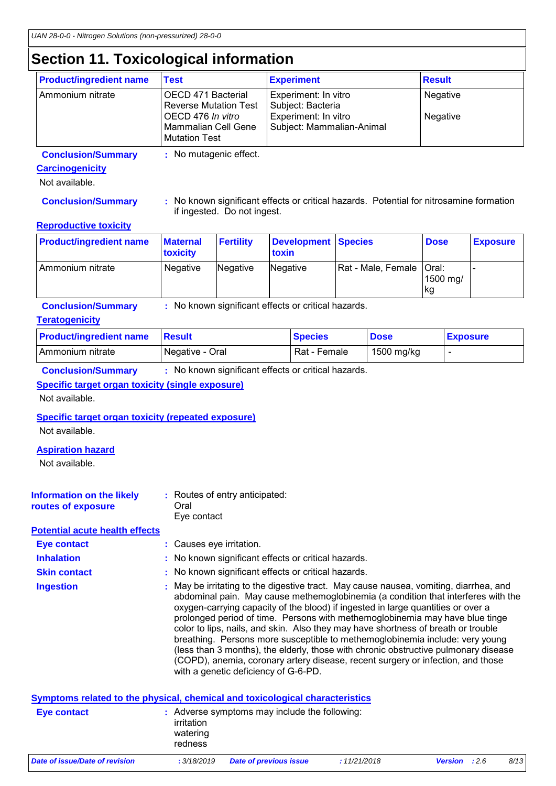## **Section 11. Toxicological information**

| <b>Product/ingredient name</b> | <b>Test</b>                                                      | <b>Experiment</b>                                 | <b>Result</b> |
|--------------------------------|------------------------------------------------------------------|---------------------------------------------------|---------------|
| Ammonium nitrate               | OECD 471 Bacterial<br><b>Reverse Mutation Test</b>               | Experiment: In vitro<br>Subject: Bacteria         | Negative      |
|                                | OECD 476 In vitro<br>Mammalian Cell Gene<br><b>Mutation Test</b> | Experiment: In vitro<br>Subject: Mammalian-Animal | Negative      |

**Conclusion/Summary :** No mutagenic effect.

### **Carcinogenicity**

Not available.

**Conclusion/Summary :** No known significant effects or critical hazards. Potential for nitrosamine formation if ingested. Do not ingest.

#### **Reproductive toxicity**

| <b>Product/ingredient name</b> | <b>Maternal</b><br><b>toxicity</b> | <b>Fertility</b> | Development Species<br>toxin |                            | <b>Dose</b>     | <b>Exposure</b> |
|--------------------------------|------------------------------------|------------------|------------------------------|----------------------------|-----------------|-----------------|
| I Ammonium nitrate             | Negative                           | Negative         | Negative                     | Rat - Male, Female   Oral: | 1500 mg/<br> kg |                 |

**Conclusion/Summary :** No known significant effects or critical hazards.

### **Teratogenicity**

| <b>Product/ingredient name</b> | <b>⊟Result</b>  | <b>Species</b> | <b>Dose</b> | <b>Exposure</b> |
|--------------------------------|-----------------|----------------|-------------|-----------------|
| I Ammonium nitrate             | Negative - Oral | Rat - Female   | 1500 mg/kg  |                 |

**Conclusion/Summary :** No known significant effects or critical hazards.

### **Specific target organ toxicity (single exposure)**

Not available.

#### **Specific target organ toxicity (repeated exposure)**

Not available.

### **Aspiration hazard**

Not available.

| Information on the likely<br>Oral<br>routes of exposure | : Routes of entry anticipated:<br>Eve contact |
|---------------------------------------------------------|-----------------------------------------------|
|---------------------------------------------------------|-----------------------------------------------|

**Potential acute health effects**

**Eye contact :** Causes eye irritation.

**Inhalation : No known significant effects or critical hazards.** 

**Skin contact :** No known significant effects or critical hazards.

May be irritating to the digestive tract. May cause nausea, vomiting, diarrhea, and abdominal pain. May cause methemoglobinemia (a condition that interferes with the oxygen-carrying capacity of the blood) if ingested in large quantities or over a prolonged period of time. Persons with methemoglobinemia may have blue tinge color to lips, nails, and skin. Also they may have shortness of breath or trouble breathing. Persons more susceptible to methemoglobinemia include: very young (less than 3 months), the elderly, those with chronic obstructive pulmonary disease (COPD), anemia, coronary artery disease, recent surgery or infection, and those with a genetic deficiency of G-6-PD. **Ingestion :**

| Symptoms related to the physical, chemical and toxicological characteristics |                                                                                    |                        |             |                      |      |  |
|------------------------------------------------------------------------------|------------------------------------------------------------------------------------|------------------------|-------------|----------------------|------|--|
| <b>Eye contact</b>                                                           | : Adverse symptoms may include the following:<br>irritation<br>watering<br>redness |                        |             |                      |      |  |
| Date of issue/Date of revision                                               | : 3/18/2019                                                                        | Date of previous issue | :11/21/2018 | <b>Version</b> : 2.6 | 8/13 |  |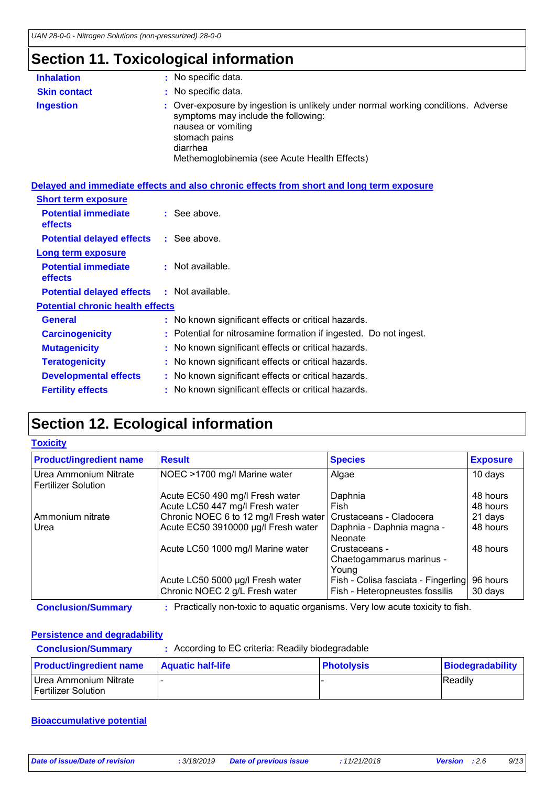## **Section 11. Toxicological information**

| <b>Inhalation</b>   | : No specific data.                                                                                                                                                                                                         |
|---------------------|-----------------------------------------------------------------------------------------------------------------------------------------------------------------------------------------------------------------------------|
| <b>Skin contact</b> | : No specific data.                                                                                                                                                                                                         |
| <b>Ingestion</b>    | : Over-exposure by ingestion is unlikely under normal working conditions. Adverse<br>symptoms may include the following:<br>nausea or vomiting<br>stomach pains<br>diarrhea<br>Methemoglobinemia (see Acute Health Effects) |

|                                               | Delayed and immediate effects and also chronic effects from short and long term exposure |
|-----------------------------------------------|------------------------------------------------------------------------------------------|
| <b>Short term exposure</b>                    |                                                                                          |
| <b>Potential immediate</b><br><b>effects</b>  | $\therefore$ See above.                                                                  |
| <b>Potential delayed effects : See above.</b> |                                                                                          |
| Long term exposure                            |                                                                                          |
| <b>Potential immediate</b><br>effects         | : Not available.                                                                         |
| <b>Potential delayed effects</b>              | : Not available.                                                                         |
| <b>Potential chronic health effects</b>       |                                                                                          |
| <b>General</b>                                | : No known significant effects or critical hazards.                                      |
| <b>Carcinogenicity</b>                        | : Potential for nitrosamine formation if ingested. Do not ingest.                        |
| <b>Mutagenicity</b>                           | : No known significant effects or critical hazards.                                      |
| <b>Teratogenicity</b>                         | : No known significant effects or critical hazards.                                      |
| <b>Developmental effects</b>                  | : No known significant effects or critical hazards.                                      |
| <b>Fertility effects</b>                      | : No known significant effects or critical hazards.                                      |

## **Section 12. Ecological information**

#### **Toxicity**

| <b>Product/ingredient name</b>                      | <b>Result</b>                                                      | <b>Species</b>                                                        | <b>Exposure</b>     |
|-----------------------------------------------------|--------------------------------------------------------------------|-----------------------------------------------------------------------|---------------------|
| Urea Ammonium Nitrate<br><b>Fertilizer Solution</b> | NOEC >1700 mg/l Marine water                                       | Algae                                                                 | 10 days             |
|                                                     | Acute EC50 490 mg/l Fresh water                                    | Daphnia                                                               | 48 hours            |
|                                                     | Acute LC50 447 mg/l Fresh water                                    | Fish                                                                  | 48 hours            |
| Ammonium nitrate                                    | Chronic NOEC 6 to 12 mg/l Fresh water   Crustaceans - Cladocera    |                                                                       | 21 days             |
| Urea                                                | Acute EC50 3910000 µg/l Fresh water                                | Daphnia - Daphnia magna -                                             | 48 hours            |
|                                                     |                                                                    | Neonate                                                               |                     |
|                                                     | Acute LC50 1000 mg/l Marine water                                  | Crustaceans -                                                         | 48 hours            |
|                                                     |                                                                    | Chaetogammarus marinus -                                              |                     |
|                                                     |                                                                    | Young                                                                 |                     |
|                                                     | Acute LC50 5000 µg/l Fresh water<br>Chronic NOEC 2 g/L Fresh water | Fish - Colisa fasciata - Fingerling<br>Fish - Heteropneustes fossilis | 96 hours<br>30 days |

**Conclusion/Summary :** Practically non-toxic to aquatic organisms. Very low acute toxicity to fish.

### **Persistence and degradability**

| <b>Conclusion/Summary</b>                    | : According to EC criteria: Readily biodegradable |                   |                  |
|----------------------------------------------|---------------------------------------------------|-------------------|------------------|
| <b>Product/ingredient name</b>               | <b>Aquatic half-life</b>                          | <b>Photolysis</b> | Biodegradability |
| Urea Ammonium Nitrate<br>Fertilizer Solution |                                                   |                   | Readily          |

### **Bioaccumulative potential**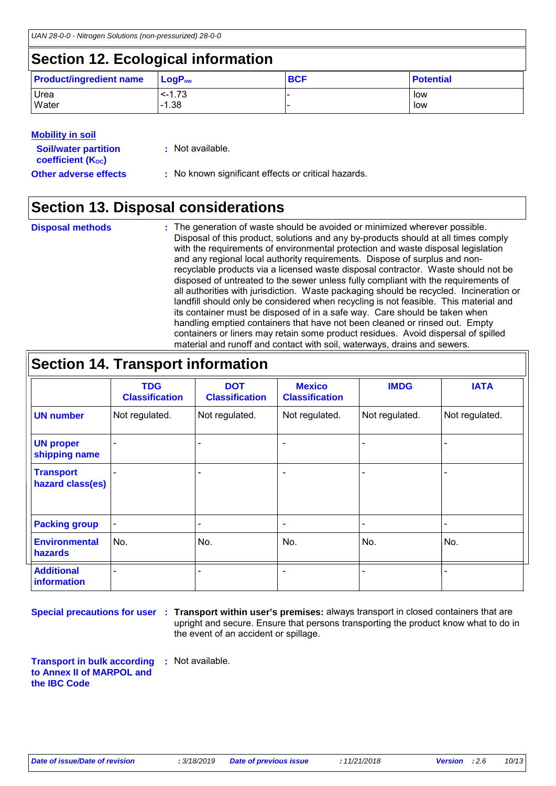## **Section 12. Ecological information**

| <b>Product/ingredient name</b> | $\blacksquare$ Log $\mathsf{P}_{\mathsf{ow}}$ | <b>BCF</b> | <b>Potential</b> |
|--------------------------------|-----------------------------------------------|------------|------------------|
| Urea                           | $-1.73$                                       |            | low              |
| Water                          | $-1.38$                                       |            | low              |

### **Mobility in soil**

| <b>Soil/water partition</b><br>coefficient (K <sub>oc</sub> ) | : Not available.                                    |
|---------------------------------------------------------------|-----------------------------------------------------|
| <b>Other adverse effects</b>                                  | : No known significant effects or critical hazards. |

## **Section 13. Disposal considerations**

| <b>Disposal methods</b> | : The generation of waste should be avoided or minimized wherever possible.            |
|-------------------------|----------------------------------------------------------------------------------------|
|                         | Disposal of this product, solutions and any by-products should at all times comply     |
|                         | with the requirements of environmental protection and waste disposal legislation       |
|                         | and any regional local authority requirements. Dispose of surplus and non-             |
|                         | recyclable products via a licensed waste disposal contractor. Waste should not be      |
|                         | disposed of untreated to the sewer unless fully compliant with the requirements of     |
|                         | all authorities with jurisdiction. Waste packaging should be recycled. Incineration or |
|                         | landfill should only be considered when recycling is not feasible. This material and   |
|                         | its container must be disposed of in a safe way. Care should be taken when             |
|                         | handling emptied containers that have not been cleaned or rinsed out. Empty            |
|                         | containers or liners may retain some product residues. Avoid dispersal of spilled      |
|                         | material and runoff and contact with soil, waterways, drains and sewers.               |

| <b>Section 14. Transport information</b> |                                     |                                     |                                        |                |                |
|------------------------------------------|-------------------------------------|-------------------------------------|----------------------------------------|----------------|----------------|
|                                          | <b>TDG</b><br><b>Classification</b> | <b>DOT</b><br><b>Classification</b> | <b>Mexico</b><br><b>Classification</b> | <b>IMDG</b>    | <b>IATA</b>    |
| <b>UN number</b>                         | Not regulated.                      | Not regulated.                      | Not regulated.                         | Not regulated. | Not regulated. |
| <b>UN proper</b><br>shipping name        |                                     |                                     |                                        |                |                |
| <b>Transport</b><br>hazard class(es)     |                                     |                                     | $\overline{\phantom{0}}$               |                |                |
| <b>Packing group</b>                     |                                     |                                     | $\overline{\phantom{a}}$               |                |                |
| <b>Environmental</b><br>hazards          | No.                                 | No.                                 | No.                                    | No.            | No.            |
| <b>Additional</b><br>information         |                                     |                                     | -                                      |                |                |

**Special precautions for user** : Transport within user's premises: always transport in closed containers that are upright and secure. Ensure that persons transporting the product know what to do in the event of an accident or spillage.

**Transport in bulk according to Annex II of MARPOL and the IBC Code :** Not available.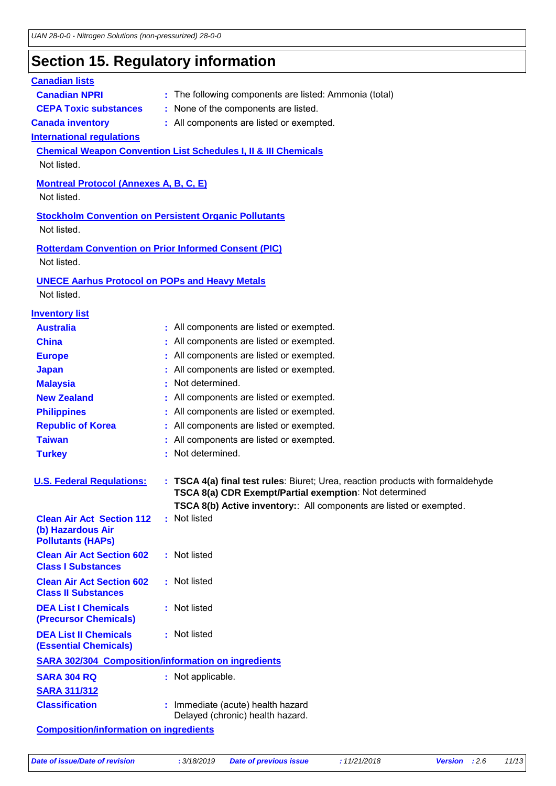### **Section 15. Regulatory information**

### **International regulations Montreal Protocol (Annexes A, B, C, E)** Not listed. **Stockholm Convention on Persistent Organic Pollutants** Not listed. **Rotterdam Convention on Prior Informed Consent (PIC)** Not listed. **Chemical Weapon Convention List Schedules I, II & III Chemicals** Not listed. **UNECE Aarhus Protocol on POPs and Heavy Metals** Not listed. **Inventory list Australia :** All components are listed or exempted. **Canada inventory :** All components are listed or exempted. **China** : All components are listed or exempted. **Europe** : All components are listed or exempted. **Japan :** All components are listed or exempted. **Republic of Korea :** All components are listed or exempted. **Malaysia :** Not determined. **New Zealand :** All components are listed or exempted. **Philippines** : All components are listed or exempted. **Taiwan :** All components are listed or exempted. **Canadian lists Canadian NPRI** : The following components are listed: Ammonia (total) **CEPA Toxic substances :** None of the components are listed. **Turkey : Not determined. U. S. Federal Regulations: : TSCA 4(a) final test rules**: Biuret; Urea, reaction products with formaldehyde **TSCA 8(a) CDR Exempt/Partial exemption**: Not determined **TSCA 8(b) Active inventory:**: All components are listed or exempted. **Clean Air Act Section 112 (b) Hazardous Air Pollutants (HAPs) :** Not listed **Clean Air Act Section 602 Class I Substances :** Not listed **Clean Air Act Section 602 Class II Substances :** Not listed **DEA List I Chemicals (Precursor Chemicals) :** Not listed **DEA List II Chemicals (Essential Chemicals) :** Not listed **SARA 302/304 Composition/information on ingredients SARA 304 RQ :** Not applicable.

|                       | .                                                                     |
|-----------------------|-----------------------------------------------------------------------|
| <b>SARA 311/312</b>   |                                                                       |
| <b>Classification</b> | : Immediate (acute) health hazard<br>Delayed (chronic) health hazard. |
|                       |                                                                       |

**Composition/information on ingredients**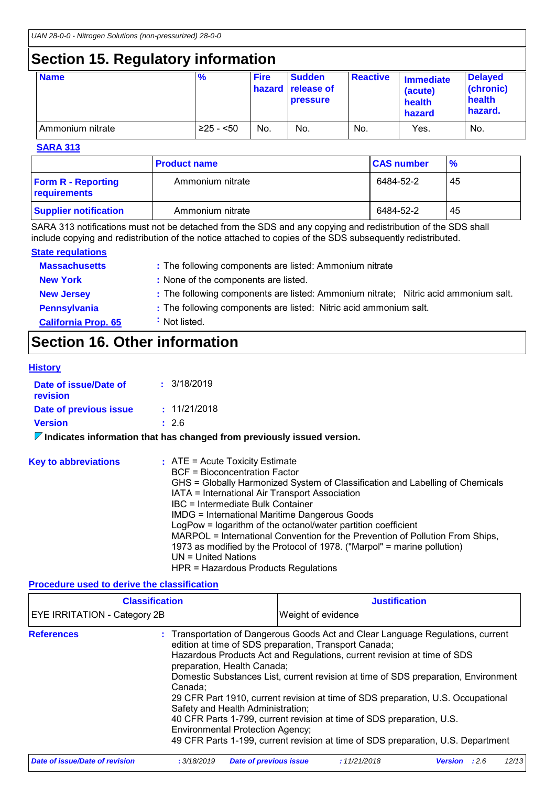## **Section 15. Regulatory information**

| <b>Name</b>      | $\frac{9}{6}$ | <b>Fire</b> | <b>Sudden</b><br><b>hazard</b> release of<br><b>pressure</b> | <b>Reactive</b> | <b>Immediate</b><br>(acute)<br>health<br>hazard | <b>Delayed</b><br>(chronic)<br>health<br>hazard. |
|------------------|---------------|-------------|--------------------------------------------------------------|-----------------|-------------------------------------------------|--------------------------------------------------|
| Ammonium nitrate | $≥25 - 50$    | No.         | No.                                                          | No.             | Yes.                                            | No.                                              |

#### **SARA 313**

|                                           | <b>Product name</b> | <b>CAS number</b> | $\frac{9}{6}$ |
|-------------------------------------------|---------------------|-------------------|---------------|
| <b>Form R - Reporting</b><br>requirements | Ammonium nitrate    | 6484-52-2         | 45            |
| <b>Supplier notification</b>              | Ammonium nitrate    | 6484-52-2         | 45            |

SARA 313 notifications must not be detached from the SDS and any copying and redistribution of the SDS shall include copying and redistribution of the notice attached to copies of the SDS subsequently redistributed.

#### **State regulations**

| <b>Massachusetts</b>       | : The following components are listed: Ammonium nitrate                             |
|----------------------------|-------------------------------------------------------------------------------------|
| <b>New York</b>            | : None of the components are listed.                                                |
| <b>New Jersey</b>          | : The following components are listed: Ammonium nitrate; Nitric acid ammonium salt. |
| Pennsylvania               | : The following components are listed: Nitric acid ammonium salt.                   |
| <b>California Prop. 65</b> | Not listed.                                                                         |

## **Section 16. Other information**

#### **History**

| Date of issue/Date of<br>revision | : 3/18/2019  |
|-----------------------------------|--------------|
| Date of previous issue            | : 11/21/2018 |
| <b>Version</b>                    | $\pm 2.6$    |

**Indicates information that has changed from previously issued version.**

| <b>Key to abbreviations</b> | $:$ ATE = Acute Toxicity Estimate<br>BCF = Bioconcentration Factor<br>GHS = Globally Harmonized System of Classification and Labelling of Chemicals<br>IATA = International Air Transport Association<br>IBC = Intermediate Bulk Container<br><b>IMDG = International Maritime Dangerous Goods</b><br>LogPow = logarithm of the octanol/water partition coefficient<br>MARPOL = International Convention for the Prevention of Pollution From Ships,<br>1973 as modified by the Protocol of 1978. ("Marpol" = marine pollution)<br>UN = United Nations |
|-----------------------------|--------------------------------------------------------------------------------------------------------------------------------------------------------------------------------------------------------------------------------------------------------------------------------------------------------------------------------------------------------------------------------------------------------------------------------------------------------------------------------------------------------------------------------------------------------|
|                             | HPR = Hazardous Products Regulations                                                                                                                                                                                                                                                                                                                                                                                                                                                                                                                   |

#### **Procedure used to derive the classification**

| <b>Classification</b><br><b>EYE IRRITATION - Category 2B</b> |             |                                                                                                                                                                                                                                                                                                                          | <b>Justification</b> |                                                                                                                                                                                                                                                                                                                                               |  |
|--------------------------------------------------------------|-------------|--------------------------------------------------------------------------------------------------------------------------------------------------------------------------------------------------------------------------------------------------------------------------------------------------------------------------|----------------------|-----------------------------------------------------------------------------------------------------------------------------------------------------------------------------------------------------------------------------------------------------------------------------------------------------------------------------------------------|--|
|                                                              |             |                                                                                                                                                                                                                                                                                                                          | Weight of evidence   |                                                                                                                                                                                                                                                                                                                                               |  |
| <b>References</b>                                            | Canada:     | edition at time of SDS preparation, Transport Canada;<br>Hazardous Products Act and Regulations, current revision at time of SDS<br>preparation, Health Canada;<br>Safety and Health Administration;<br>40 CFR Parts 1-799, current revision at time of SDS preparation, U.S.<br><b>Environmental Protection Agency;</b> |                      | : Transportation of Dangerous Goods Act and Clear Language Regulations, current<br>Domestic Substances List, current revision at time of SDS preparation, Environment<br>29 CFR Part 1910, current revision at time of SDS preparation, U.S. Occupational<br>49 CFR Parts 1-199, current revision at time of SDS preparation, U.S. Department |  |
| <b>Date of issue/Date of revision</b>                        | : 3/18/2019 | <b>Date of previous issue</b>                                                                                                                                                                                                                                                                                            | :11/21/2018          | 12/13<br><b>Version</b><br>:2.6                                                                                                                                                                                                                                                                                                               |  |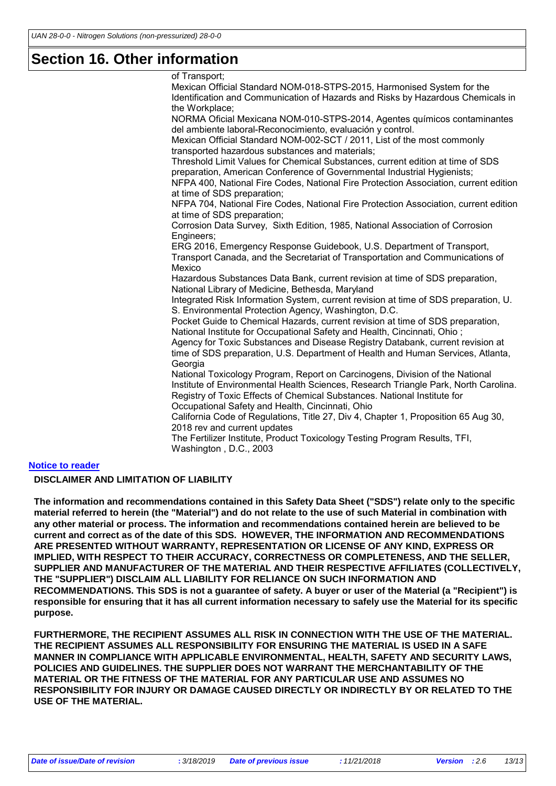### **Section 16. Other information**

of Transport; Mexican Official Standard NOM-018-STPS-2015, Harmonised System for the Identification and Communication of Hazards and Risks by Hazardous Chemicals in the Workplace; NORMA Oficial Mexicana NOM-010-STPS-2014, Agentes químicos contaminantes del ambiente laboral-Reconocimiento, evaluación y control. Mexican Official Standard NOM-002-SCT / 2011, List of the most commonly transported hazardous substances and materials; Threshold Limit Values for Chemical Substances, current edition at time of SDS preparation, American Conference of Governmental Industrial Hygienists; NFPA 400, National Fire Codes, National Fire Protection Association, current edition at time of SDS preparation; NFPA 704, National Fire Codes, National Fire Protection Association, current edition at time of SDS preparation; Corrosion Data Survey, Sixth Edition, 1985, National Association of Corrosion Engineers; ERG 2016, Emergency Response Guidebook, U.S. Department of Transport, Transport Canada, and the Secretariat of Transportation and Communications of Mexico Hazardous Substances Data Bank, current revision at time of SDS preparation, National Library of Medicine, Bethesda, Maryland Integrated Risk Information System, current revision at time of SDS preparation, U. S. Environmental Protection Agency, Washington, D.C. Pocket Guide to Chemical Hazards, current revision at time of SDS preparation, National Institute for Occupational Safety and Health, Cincinnati, Ohio ; Agency for Toxic Substances and Disease Registry Databank, current revision at time of SDS preparation, U.S. Department of Health and Human Services, Atlanta, **Georgia** National Toxicology Program, Report on Carcinogens, Division of the National Institute of Environmental Health Sciences, Research Triangle Park, North Carolina. Registry of Toxic Effects of Chemical Substances. National Institute for Occupational Safety and Health, Cincinnati, Ohio California Code of Regulations, Title 27, Div 4, Chapter 1, Proposition 65 Aug 30, 2018 rev and current updates The Fertilizer Institute, Product Toxicology Testing Program Results, TFI, Washington , D.C., 2003

#### **Notice to reader**

#### **DISCLAIMER AND LIMITATION OF LIABILITY**

**The information and recommendations contained in this Safety Data Sheet ("SDS") relate only to the specific material referred to herein (the "Material") and do not relate to the use of such Material in combination with any other material or process. The information and recommendations contained herein are believed to be current and correct as of the date of this SDS. HOWEVER, THE INFORMATION AND RECOMMENDATIONS ARE PRESENTED WITHOUT WARRANTY, REPRESENTATION OR LICENSE OF ANY KIND, EXPRESS OR IMPLIED, WITH RESPECT TO THEIR ACCURACY, CORRECTNESS OR COMPLETENESS, AND THE SELLER, SUPPLIER AND MANUFACTURER OF THE MATERIAL AND THEIR RESPECTIVE AFFILIATES (COLLECTIVELY, THE "SUPPLIER") DISCLAIM ALL LIABILITY FOR RELIANCE ON SUCH INFORMATION AND RECOMMENDATIONS. This SDS is not a guarantee of safety. A buyer or user of the Material (a "Recipient") is responsible for ensuring that it has all current information necessary to safely use the Material for its specific purpose.**

**FURTHERMORE, THE RECIPIENT ASSUMES ALL RISK IN CONNECTION WITH THE USE OF THE MATERIAL. THE RECIPIENT ASSUMES ALL RESPONSIBILITY FOR ENSURING THE MATERIAL IS USED IN A SAFE MANNER IN COMPLIANCE WITH APPLICABLE ENVIRONMENTAL, HEALTH, SAFETY AND SECURITY LAWS, POLICIES AND GUIDELINES. THE SUPPLIER DOES NOT WARRANT THE MERCHANTABILITY OF THE MATERIAL OR THE FITNESS OF THE MATERIAL FOR ANY PARTICULAR USE AND ASSUMES NO RESPONSIBILITY FOR INJURY OR DAMAGE CAUSED DIRECTLY OR INDIRECTLY BY OR RELATED TO THE USE OF THE MATERIAL.**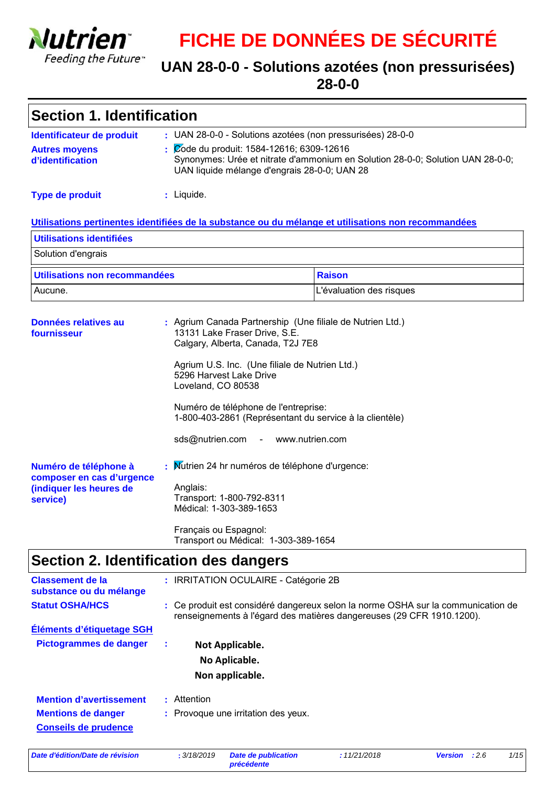

# **FICHE DE DONNÉES DE SÉCURITÉ**

### **UAN 28-0-0 - Solutions azotées (non pressurisées) 28-0-0**

| <b>Section 1. Identification</b>                                                                    |   |                    |                                                                                                                                                                                                                              |                                                                                                                                                                                              |                |      |      |
|-----------------------------------------------------------------------------------------------------|---|--------------------|------------------------------------------------------------------------------------------------------------------------------------------------------------------------------------------------------------------------------|----------------------------------------------------------------------------------------------------------------------------------------------------------------------------------------------|----------------|------|------|
| Identificateur de produit<br><b>Autres moyens</b><br>d'identification                               |   |                    | Zode du produit: 1584-12616; 6309-12616                                                                                                                                                                                      | : UAN 28-0-0 - Solutions azotées (non pressurisées) 28-0-0<br>Synonymes: Urée et nitrate d'ammonium en Solution 28-0-0; Solution UAN 28-0-0;<br>UAN liquide mélange d'engrais 28-0-0; UAN 28 |                |      |      |
| <b>Type de produit</b>                                                                              |   | : Liquide.         |                                                                                                                                                                                                                              |                                                                                                                                                                                              |                |      |      |
| Utilisations pertinentes identifiées de la substance ou du mélange et utilisations non recommandées |   |                    |                                                                                                                                                                                                                              |                                                                                                                                                                                              |                |      |      |
| Utilisations identifiées                                                                            |   |                    |                                                                                                                                                                                                                              |                                                                                                                                                                                              |                |      |      |
| Solution d'engrais                                                                                  |   |                    |                                                                                                                                                                                                                              |                                                                                                                                                                                              |                |      |      |
| Utilisations non recommandées                                                                       |   |                    |                                                                                                                                                                                                                              | <b>Raison</b>                                                                                                                                                                                |                |      |      |
| Aucune.                                                                                             |   |                    |                                                                                                                                                                                                                              | L'évaluation des risques                                                                                                                                                                     |                |      |      |
| Données relatives au<br>fournisseur                                                                 |   | Loveland, CO 80538 | 13131 Lake Fraser Drive, S.E.<br>Calgary, Alberta, Canada, T2J 7E8<br>Agrium U.S. Inc. (Une filiale de Nutrien Ltd.)<br>5296 Harvest Lake Drive<br>Numéro de téléphone de l'entreprise:<br>sds@nutrien.com - www.nutrien.com | : Agrium Canada Partnership (Une filiale de Nutrien Ltd.)<br>1-800-403-2861 (Représentant du service à la clientèle)                                                                         |                |      |      |
| Numéro de téléphone à<br>composer en cas d'urgence<br>(indiquer les heures de<br>service)           |   | Anglais:           | Transport: 1-800-792-8311<br>Médical: 1-303-389-1653<br>Français ou Espagnol:<br>Transport ou Médical: 1-303-389-1654                                                                                                        | Mutrien 24 hr numéros de téléphone d'urgence:                                                                                                                                                |                |      |      |
| Section 2. Identification des dangers                                                               |   |                    |                                                                                                                                                                                                                              |                                                                                                                                                                                              |                |      |      |
| <b>Classement de la</b><br>substance ou du mélange<br><b>Statut OSHA/HCS</b>                        |   |                    | : IRRITATION OCULAIRE - Catégorie 2B                                                                                                                                                                                         | : Ce produit est considéré dangereux selon la norme OSHA sur la communication de<br>renseignements à l'égard des matières dangereuses (29 CFR 1910.1200).                                    |                |      |      |
| Éléments d'étiquetage SGH                                                                           |   |                    |                                                                                                                                                                                                                              |                                                                                                                                                                                              |                |      |      |
| <b>Pictogrammes de danger</b>                                                                       | ÷ |                    | Not Applicable.                                                                                                                                                                                                              |                                                                                                                                                                                              |                |      |      |
|                                                                                                     |   |                    | No Aplicable.                                                                                                                                                                                                                |                                                                                                                                                                                              |                |      |      |
| <b>Mention d'avertissement</b><br><b>Mentions de danger</b><br><b>Conseils de prudence</b>          |   | : Attention        | Non applicable.<br>: Provoque une irritation des yeux.                                                                                                                                                                       |                                                                                                                                                                                              |                |      |      |
| Date d'édition/Date de révision                                                                     |   | : 3/18/2019        | <b>Date de publication</b>                                                                                                                                                                                                   | :11/21/2018                                                                                                                                                                                  | <b>Version</b> | :2.6 | 1/15 |

*précédente*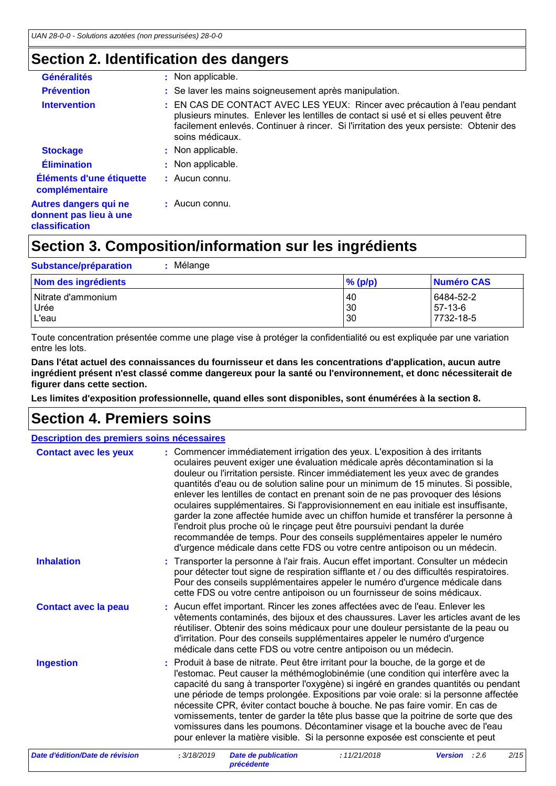### **Section 2. Identification des dangers**

| <b>Généralités</b>                                                | : Non applicable.                                                                                                                                                                                                                                                             |
|-------------------------------------------------------------------|-------------------------------------------------------------------------------------------------------------------------------------------------------------------------------------------------------------------------------------------------------------------------------|
| <b>Prévention</b>                                                 | : Se laver les mains soigneusement après manipulation.                                                                                                                                                                                                                        |
| <b>Intervention</b>                                               | : EN CAS DE CONTACT AVEC LES YEUX: Rincer avec précaution à l'eau pendant<br>plusieurs minutes. Enlever les lentilles de contact si usé et si elles peuvent être<br>facilement enlevés. Continuer à rincer. Si l'irritation des yeux persiste: Obtenir des<br>soins médicaux. |
| <b>Stockage</b>                                                   | : Non applicable.                                                                                                                                                                                                                                                             |
| <b>Élimination</b>                                                | : Non applicable.                                                                                                                                                                                                                                                             |
| Éléments d'une étiquette<br>complémentaire                        | $\pm$ Aucun connu.                                                                                                                                                                                                                                                            |
| Autres dangers qui ne<br>donnent pas lieu à une<br>classification | : Aucun connu.                                                                                                                                                                                                                                                                |

## **Section 3. Composition/information sur les ingrédients**

| Mélange<br><b>Substance/préparation</b>      |                       |                                   |
|----------------------------------------------|-----------------------|-----------------------------------|
| Nom des ingrédients                          | $%$ (p/p)             | Numéro CAS                        |
| l Nitrate d'ammonium<br><b>Urée</b><br>L'eau | <b>40</b><br>30<br>30 | 6484-52-2<br>57-13-6<br>7732-18-5 |

Toute concentration présentée comme une plage vise à protéger la confidentialité ou est expliquée par une variation entre les lots.

**Dans l'état actuel des connaissances du fournisseur et dans les concentrations d'application, aucun autre ingrédient présent n'est classé comme dangereux pour la santé ou l'environnement, et donc nécessiterait de figurer dans cette section.**

**Les limites d'exposition professionnelle, quand elles sont disponibles, sont énumérées à la section 8.**

## **Section 4. Premiers soins**

| Description des premiers soins nécessaires |                                                                                                                                                                                                                                                                                                                                                                                                                                                                                                                                                                                                                                                                                                                                                                                                                                             |
|--------------------------------------------|---------------------------------------------------------------------------------------------------------------------------------------------------------------------------------------------------------------------------------------------------------------------------------------------------------------------------------------------------------------------------------------------------------------------------------------------------------------------------------------------------------------------------------------------------------------------------------------------------------------------------------------------------------------------------------------------------------------------------------------------------------------------------------------------------------------------------------------------|
| <b>Contact avec les yeux</b>               | : Commencer immédiatement irrigation des yeux. L'exposition à des irritants<br>oculaires peuvent exiger une évaluation médicale après décontamination si la<br>douleur ou l'irritation persiste. Rincer immédiatement les yeux avec de grandes<br>quantités d'eau ou de solution saline pour un minimum de 15 minutes. Si possible,<br>enlever les lentilles de contact en prenant soin de ne pas provoquer des lésions<br>oculaires supplémentaires. Si l'approvisionnement en eau initiale est insuffisante,<br>garder la zone affectée humide avec un chiffon humide et transférer la personne à<br>l'endroit plus proche où le rinçage peut être poursuivi pendant la durée<br>recommandée de temps. Pour des conseils supplémentaires appeler le numéro<br>d'urgence médicale dans cette FDS ou votre centre antipoison ou un médecin. |
| <b>Inhalation</b>                          | Transporter la personne à l'air frais. Aucun effet important. Consulter un médecin<br>pour détecter tout signe de respiration sifflante et / ou des difficultés respiratoires.<br>Pour des conseils supplémentaires appeler le numéro d'urgence médicale dans<br>cette FDS ou votre centre antipoison ou un fournisseur de soins médicaux.                                                                                                                                                                                                                                                                                                                                                                                                                                                                                                  |
| <b>Contact avec la peau</b>                | : Aucun effet important. Rincer les zones affectées avec de l'eau. Enlever les<br>vêtements contaminés, des bijoux et des chaussures. Laver les articles avant de les<br>réutiliser. Obtenir des soins médicaux pour une douleur persistante de la peau ou<br>d'irritation. Pour des conseils supplémentaires appeler le numéro d'urgence<br>médicale dans cette FDS ou votre centre antipoison ou un médecin.                                                                                                                                                                                                                                                                                                                                                                                                                              |
| <b>Ingestion</b>                           | : Produit à base de nitrate. Peut être irritant pour la bouche, de la gorge et de<br>l'estomac. Peut causer la méthémoglobinémie (une condition qui interfère avec la<br>capacité du sang à transporter l'oxygène) si ingéré en grandes quantités ou pendant<br>une période de temps prolongée. Expositions par voie orale: si la personne affectée<br>nécessite CPR, éviter contact bouche à bouche. Ne pas faire vomir. En cas de<br>vomissements, tenter de garder la tête plus basse que la poitrine de sorte que des<br>vomissures dans les poumons. Décontaminer visage et la bouche avec de l'eau<br>pour enlever la matière visible. Si la personne exposée est consciente et peut                                                                                                                                                  |
| Date d'édition/Date de révision            | : 3/18/2019<br><b>Date de publication</b><br>:11/21/2018<br>2/15<br><b>Version</b><br>:2.6<br>précédente                                                                                                                                                                                                                                                                                                                                                                                                                                                                                                                                                                                                                                                                                                                                    |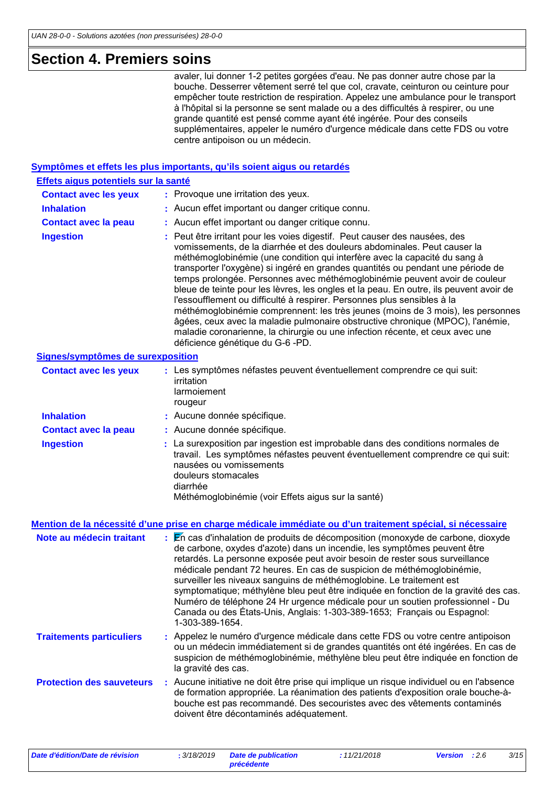## **Section 4. Premiers soins**

| SECUOII 4. FIEIIIIEIS SUIIIS         |                                                                                                                                                                                                                                                                                                                                                                                                                                                                                                                                                                                                                                                                                                                                                                                                                                                                     |
|--------------------------------------|---------------------------------------------------------------------------------------------------------------------------------------------------------------------------------------------------------------------------------------------------------------------------------------------------------------------------------------------------------------------------------------------------------------------------------------------------------------------------------------------------------------------------------------------------------------------------------------------------------------------------------------------------------------------------------------------------------------------------------------------------------------------------------------------------------------------------------------------------------------------|
|                                      | avaler, lui donner 1-2 petites gorgées d'eau. Ne pas donner autre chose par la<br>bouche. Desserrer vêtement serré tel que col, cravate, ceinturon ou ceinture pour<br>empêcher toute restriction de respiration. Appelez une ambulance pour le transport<br>à l'hôpital si la personne se sent malade ou a des difficultés à respirer, ou une<br>grande quantité est pensé comme ayant été ingérée. Pour des conseils<br>supplémentaires, appeler le numéro d'urgence médicale dans cette FDS ou votre<br>centre antipoison ou un médecin.                                                                                                                                                                                                                                                                                                                         |
|                                      | Symptômes et effets les plus importants, qu'ils soient aigus ou retardés                                                                                                                                                                                                                                                                                                                                                                                                                                                                                                                                                                                                                                                                                                                                                                                            |
| Effets aigus potentiels sur la santé |                                                                                                                                                                                                                                                                                                                                                                                                                                                                                                                                                                                                                                                                                                                                                                                                                                                                     |
| <b>Contact avec les yeux</b>         | : Provoque une irritation des yeux.                                                                                                                                                                                                                                                                                                                                                                                                                                                                                                                                                                                                                                                                                                                                                                                                                                 |
| <b>Inhalation</b>                    | : Aucun effet important ou danger critique connu.                                                                                                                                                                                                                                                                                                                                                                                                                                                                                                                                                                                                                                                                                                                                                                                                                   |
| <b>Contact avec la peau</b>          | : Aucun effet important ou danger critique connu.                                                                                                                                                                                                                                                                                                                                                                                                                                                                                                                                                                                                                                                                                                                                                                                                                   |
| <b>Ingestion</b>                     | : Peut être irritant pour les voies digestif. Peut causer des nausées, des<br>vomissements, de la diarrhée et des douleurs abdominales. Peut causer la<br>méthémoglobinémie (une condition qui interfère avec la capacité du sang à<br>transporter l'oxygène) si ingéré en grandes quantités ou pendant une période de<br>temps prolongée. Personnes avec méthémoglobinémie peuvent avoir de couleur<br>bleue de teinte pour les lèvres, les ongles et la peau. En outre, ils peuvent avoir de<br>l'essoufflement ou difficulté à respirer. Personnes plus sensibles à la<br>méthémoglobinémie comprennent: les très jeunes (moins de 3 mois), les personnes<br>âgées, ceux avec la maladie pulmonaire obstructive chronique (MPOC), l'anémie,<br>maladie coronarienne, la chirurgie ou une infection récente, et ceux avec une<br>déficience génétique du G-6 -PD. |
| Signes/symptômes de surexposition    |                                                                                                                                                                                                                                                                                                                                                                                                                                                                                                                                                                                                                                                                                                                                                                                                                                                                     |
| <b>Contact avec les yeux</b>         | : Les symptômes néfastes peuvent éventuellement comprendre ce qui suit:<br>irritation<br>larmoiement<br>rougeur                                                                                                                                                                                                                                                                                                                                                                                                                                                                                                                                                                                                                                                                                                                                                     |
| <b>Inhalation</b>                    | : Aucune donnée spécifique.                                                                                                                                                                                                                                                                                                                                                                                                                                                                                                                                                                                                                                                                                                                                                                                                                                         |
| <b>Contact avec la peau</b>          | : Aucune donnée spécifique.                                                                                                                                                                                                                                                                                                                                                                                                                                                                                                                                                                                                                                                                                                                                                                                                                                         |
| <b>Ingestion</b>                     | : La surexposition par ingestion est improbable dans des conditions normales de<br>travail. Les symptômes néfastes peuvent éventuellement comprendre ce qui suit:<br>nausées ou vomissements<br>المملحم ممسمام امستنمات بملح                                                                                                                                                                                                                                                                                                                                                                                                                                                                                                                                                                                                                                        |

douleurs stomacales

diarrhée

Méthémoglobinémie (voir Effets aigus sur la santé)

#### **Mention de la nécessité d'une prise en charge médicale immédiate ou d'un traitement spécial, si nécessaire**

| Note au médecin traitant         | : En cas d'inhalation de produits de décomposition (monoxyde de carbone, dioxyde<br>de carbone, oxydes d'azote) dans un incendie, les symptômes peuvent être<br>retardés. La personne exposée peut avoir besoin de rester sous surveillance<br>médicale pendant 72 heures. En cas de suspicion de méthémoglobinémie,<br>surveiller les niveaux sanguins de méthémoglobine. Le traitement est<br>symptomatique; méthylène bleu peut être indiquée en fonction de la gravité des cas.<br>Numéro de téléphone 24 Hr urgence médicale pour un soutien professionnel - Du<br>Canada ou des États-Unis, Anglais: 1-303-389-1653; Français ou Espagnol:<br>1-303-389-1654. |
|----------------------------------|---------------------------------------------------------------------------------------------------------------------------------------------------------------------------------------------------------------------------------------------------------------------------------------------------------------------------------------------------------------------------------------------------------------------------------------------------------------------------------------------------------------------------------------------------------------------------------------------------------------------------------------------------------------------|
| <b>Traitements particuliers</b>  | : Appelez le numéro d'urgence médicale dans cette FDS ou votre centre antipoison<br>ou un médecin immédiatement si de grandes quantités ont été ingérées. En cas de<br>suspicion de méthémoglobinémie, méthylène bleu peut être indiquée en fonction de<br>la gravité des cas.                                                                                                                                                                                                                                                                                                                                                                                      |
| <b>Protection des sauveteurs</b> | : Aucune initiative ne doit être prise qui implique un risque individuel ou en l'absence<br>de formation appropriée. La réanimation des patients d'exposition orale bouche-à-<br>bouche est pas recommandé. Des secouristes avec des vêtements contaminés<br>doivent être décontaminés adéquatement.                                                                                                                                                                                                                                                                                                                                                                |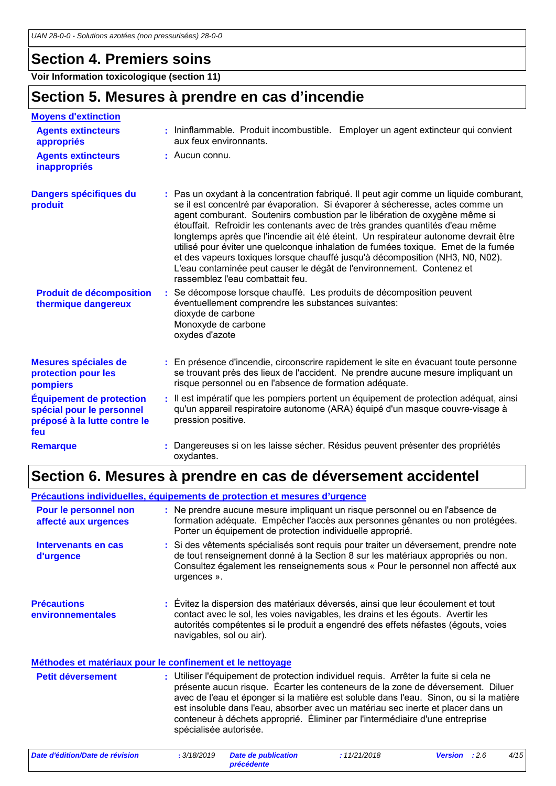### **Section 4. Premiers soins**

**Voir Information toxicologique (section 11)**

### **Section 5. Mesures à prendre en cas d'incendie**

| <b>Moyens d'extinction</b>                                                                          |                                                                                                                                                                                                                                                                                                                                                                                                                                                                                                                                                                                                                                                                                                                  |
|-----------------------------------------------------------------------------------------------------|------------------------------------------------------------------------------------------------------------------------------------------------------------------------------------------------------------------------------------------------------------------------------------------------------------------------------------------------------------------------------------------------------------------------------------------------------------------------------------------------------------------------------------------------------------------------------------------------------------------------------------------------------------------------------------------------------------------|
| <b>Agents extincteurs</b><br>appropriés                                                             | : Ininflammable. Produit incombustible. Employer un agent extincteur qui convient<br>aux feux environnants.                                                                                                                                                                                                                                                                                                                                                                                                                                                                                                                                                                                                      |
| <b>Agents extincteurs</b><br>inappropriés                                                           | : Aucun connu.                                                                                                                                                                                                                                                                                                                                                                                                                                                                                                                                                                                                                                                                                                   |
| Dangers spécifiques du<br>produit                                                                   | : Pas un oxydant à la concentration fabriqué. Il peut agir comme un liquide comburant,<br>se il est concentré par évaporation. Si évaporer à sécheresse, actes comme un<br>agent comburant. Soutenirs combustion par le libération de oxygène même si<br>étouffait. Refroidir les contenants avec de très grandes quantités d'eau même<br>longtemps après que l'incendie ait été éteint. Un respirateur autonome devrait être<br>utilisé pour éviter une quelconque inhalation de fumées toxique. Emet de la fumée<br>et des vapeurs toxiques lorsque chauffé jusqu'à décomposition (NH3, N0, N02).<br>L'eau contaminée peut causer le dégât de l'environnement. Contenez et<br>rassemblez l'eau combattait feu. |
| <b>Produit de décomposition</b><br>thermique dangereux                                              | : Se décompose lorsque chauffé. Les produits de décomposition peuvent<br>éventuellement comprendre les substances suivantes:<br>dioxyde de carbone<br>Monoxyde de carbone<br>oxydes d'azote                                                                                                                                                                                                                                                                                                                                                                                                                                                                                                                      |
| Mesures spéciales de<br>protection pour les<br>pompiers                                             | : En présence d'incendie, circonscrire rapidement le site en évacuant toute personne<br>se trouvant près des lieux de l'accident. Ne prendre aucune mesure impliquant un<br>risque personnel ou en l'absence de formation adéquate.                                                                                                                                                                                                                                                                                                                                                                                                                                                                              |
| <b>Équipement de protection</b><br>spécial pour le personnel<br>préposé à la lutte contre le<br>feu | : Il est impératif que les pompiers portent un équipement de protection adéquat, ainsi<br>qu'un appareil respiratoire autonome (ARA) équipé d'un masque couvre-visage à<br>pression positive.                                                                                                                                                                                                                                                                                                                                                                                                                                                                                                                    |
| <b>Remarque</b>                                                                                     | Dangereuses si on les laisse sécher. Résidus peuvent présenter des propriétés<br>oxydantes.                                                                                                                                                                                                                                                                                                                                                                                                                                                                                                                                                                                                                      |

### **Section 6. Mesures à prendre en cas de déversement accidentel**

**Précautions environnementales Précautions individuelles, équipements de protection et mesures d'urgence :** Évitez la dispersion des matériaux déversés, ainsi que leur écoulement et tout **:** Ne prendre aucune mesure impliquant un risque personnel ou en l'absence de formation adéquate. Empêcher l'accès aux personnes gênantes ou non protégées. Porter un équipement de protection individuelle approprié. contact avec le sol, les voies navigables, les drains et les égouts. Avertir les autorités compétentes si le produit a engendré des effets néfastes (égouts, voies navigables, sol ou air). Utiliser l'équipement de protection individuel requis. Arrêter la fuite si cela ne présente aucun risque. Écarter les conteneurs de la zone de déversement. Diluer avec de l'eau et éponger si la matière est soluble dans l'eau. Sinon, ou si la matière est insoluble dans l'eau, absorber avec un matériau sec inerte et placer dans un conteneur à déchets approprié. Éliminer par l'intermédiaire d'une entreprise spécialisée autorisée. **Petit déversement : Méthodes et matériaux pour le confinement et le nettoyage Pour le personnel non affecté aux urgences Intervenants en cas d'urgence :** Si des vêtements spécialisés sont requis pour traiter un déversement, prendre note de tout renseignement donné à la Section 8 sur les matériaux appropriés ou non. Consultez également les renseignements sous « Pour le personnel non affecté aux urgences ».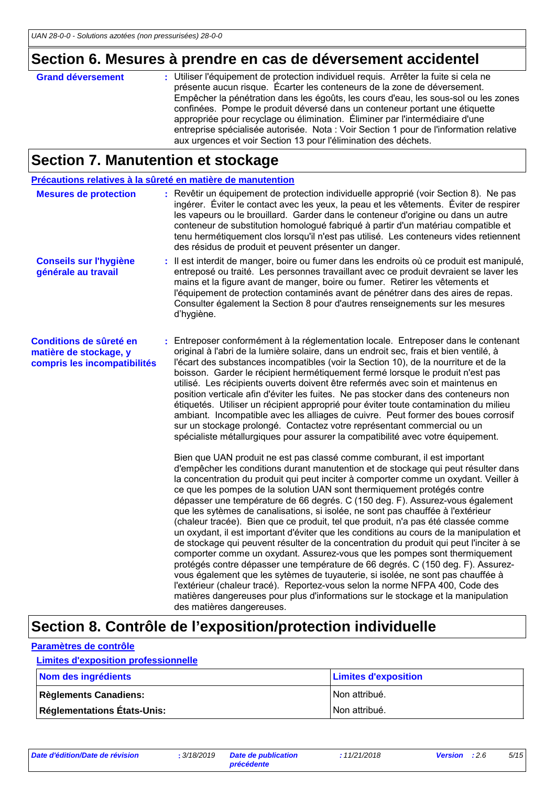## **Section 6. Mesures à prendre en cas de déversement accidentel**

| <b>Grand déversement</b> | : Utiliser l'équipement de protection individuel requis. Arrêter la fuite si cela ne<br>présente aucun risque. Écarter les conteneurs de la zone de déversement.<br>Empêcher la pénétration dans les égoûts, les cours d'eau, les sous-sol ou les zones<br>confinées. Pompe le produit déversé dans un conteneur portant une étiquette<br>appropriée pour recyclage ou élimination. Éliminer par l'intermédiaire d'une<br>entreprise spécialisée autorisée. Nota : Voir Section 1 pour de l'information relative<br>aux urgences et voir Section 13 pour l'élimination des déchets. |
|--------------------------|-------------------------------------------------------------------------------------------------------------------------------------------------------------------------------------------------------------------------------------------------------------------------------------------------------------------------------------------------------------------------------------------------------------------------------------------------------------------------------------------------------------------------------------------------------------------------------------|
|                          |                                                                                                                                                                                                                                                                                                                                                                                                                                                                                                                                                                                     |

### **Section 7. Manutention et stockage**

| Précautions relatives à la sûreté en matière de manutention                       |                                                                                                                                                                                                                                                                                                                                                                                                                                                                                                                                                                                                                                                                                                                                                                                                                                                                                                                                                                                                                                                                                                                                                                                                                                       |
|-----------------------------------------------------------------------------------|---------------------------------------------------------------------------------------------------------------------------------------------------------------------------------------------------------------------------------------------------------------------------------------------------------------------------------------------------------------------------------------------------------------------------------------------------------------------------------------------------------------------------------------------------------------------------------------------------------------------------------------------------------------------------------------------------------------------------------------------------------------------------------------------------------------------------------------------------------------------------------------------------------------------------------------------------------------------------------------------------------------------------------------------------------------------------------------------------------------------------------------------------------------------------------------------------------------------------------------|
| <b>Mesures de protection</b>                                                      | Revêtir un équipement de protection individuelle approprié (voir Section 8). Ne pas<br>ingérer. Éviter le contact avec les yeux, la peau et les vêtements. Éviter de respirer<br>les vapeurs ou le brouillard. Garder dans le conteneur d'origine ou dans un autre<br>conteneur de substitution homologué fabriqué à partir d'un matériau compatible et<br>tenu hermétiquement clos lorsqu'il n'est pas utilisé. Les conteneurs vides retiennent<br>des résidus de produit et peuvent présenter un danger.                                                                                                                                                                                                                                                                                                                                                                                                                                                                                                                                                                                                                                                                                                                            |
| <b>Conseils sur l'hygiène</b><br>générale au travail                              | : Il est interdit de manger, boire ou fumer dans les endroits où ce produit est manipulé,<br>entreposé ou traité. Les personnes travaillant avec ce produit devraient se laver les<br>mains et la figure avant de manger, boire ou fumer. Retirer les vêtements et<br>l'équipement de protection contaminés avant de pénétrer dans des aires de repas.<br>Consulter également la Section 8 pour d'autres renseignements sur les mesures<br>d'hygiène.                                                                                                                                                                                                                                                                                                                                                                                                                                                                                                                                                                                                                                                                                                                                                                                 |
| Conditions de sûreté en<br>matière de stockage, y<br>compris les incompatibilités | : Entreposer conformément à la réglementation locale. Entreposer dans le contenant<br>original à l'abri de la lumière solaire, dans un endroit sec, frais et bien ventilé, à<br>l'écart des substances incompatibles (voir la Section 10), de la nourriture et de la<br>boisson. Garder le récipient hermétiquement fermé lorsque le produit n'est pas<br>utilisé. Les récipients ouverts doivent être refermés avec soin et maintenus en<br>position verticale afin d'éviter les fuites. Ne pas stocker dans des conteneurs non<br>étiquetés. Utiliser un récipient approprié pour éviter toute contamination du milieu<br>ambiant. Incompatible avec les alliages de cuivre. Peut former des boues corrosif<br>sur un stockage prolongé. Contactez votre représentant commercial ou un<br>spécialiste métallurgiques pour assurer la compatibilité avec votre équipement.                                                                                                                                                                                                                                                                                                                                                           |
|                                                                                   | Bien que UAN produit ne est pas classé comme comburant, il est important<br>d'empêcher les conditions durant manutention et de stockage qui peut résulter dans<br>la concentration du produit qui peut inciter à comporter comme un oxydant. Veiller à<br>ce que les pompes de la solution UAN sont thermiquement protégés contre<br>dépasser une température de 66 degrés. C (150 deg. F). Assurez-vous également<br>que les sytèmes de canalisations, si isolée, ne sont pas chauffée à l'extérieur<br>(chaleur tracée). Bien que ce produit, tel que produit, n'a pas été classée comme<br>un oxydant, il est important d'éviter que les conditions au cours de la manipulation et<br>de stockage qui peuvent résulter de la concentration du produit qui peut l'inciter à se<br>comporter comme un oxydant. Assurez-vous que les pompes sont thermiquement<br>protégés contre dépasser une température de 66 degrés. C (150 deg. F). Assurez-<br>vous également que les sytèmes de tuyauterie, si isolée, ne sont pas chauffée à<br>l'extérieur (chaleur tracé). Reportez-vous selon la norme NFPA 400, Code des<br>matières dangereuses pour plus d'informations sur le stockage et la manipulation<br>des matières dangereuses. |

## **Section 8. Contrôle de l'exposition/protection individuelle**

### **Paramètres de contrôle**

### **Limites d'exposition professionnelle**

| Nom des ingrédients                | <b>Limites d'exposition</b> |
|------------------------------------|-----------------------------|
| <b>Règlements Canadiens:</b>       | l Non attribué.             |
| <b>Réglementations États-Unis:</b> | Non attribué.               |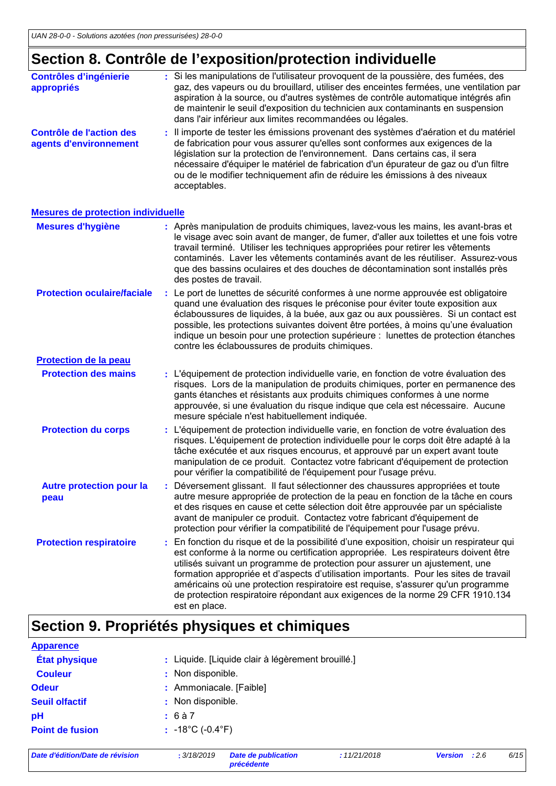## **Section 8. Contrôle de l'exposition/protection individuelle**

|                                                    |    | Section 8. Contrôle de l'exposition/protection individuelle                                                                                                                                                                                                                                                                                                                                                                                                                               |
|----------------------------------------------------|----|-------------------------------------------------------------------------------------------------------------------------------------------------------------------------------------------------------------------------------------------------------------------------------------------------------------------------------------------------------------------------------------------------------------------------------------------------------------------------------------------|
| <b>Contrôles d'ingénierie</b><br>appropriés        |    | : Si les manipulations de l'utilisateur provoquent de la poussière, des fumées, des<br>gaz, des vapeurs ou du brouillard, utiliser des enceintes fermées, une ventilation par<br>aspiration à la source, ou d'autres systèmes de contrôle automatique intégrés afin<br>de maintenir le seuil d'exposition du technicien aux contaminants en suspension<br>dans l'air inférieur aux limites recommandées ou légales.                                                                       |
| Contrôle de l'action des<br>agents d'environnement |    | Il importe de tester les émissions provenant des systèmes d'aération et du matériel<br>de fabrication pour vous assurer qu'elles sont conformes aux exigences de la<br>législation sur la protection de l'environnement. Dans certains cas, il sera<br>nécessaire d'équiper le matériel de fabrication d'un épurateur de gaz ou d'un filtre<br>ou de le modifier techniquement afin de réduire les émissions à des niveaux<br>acceptables.                                                |
| <b>Mesures de protection individuelle</b>          |    |                                                                                                                                                                                                                                                                                                                                                                                                                                                                                           |
| <b>Mesures d'hygiène</b>                           |    | : Après manipulation de produits chimiques, lavez-vous les mains, les avant-bras et<br>le visage avec soin avant de manger, de fumer, d'aller aux toilettes et une fois votre<br>travail terminé. Utiliser les techniques appropriées pour retirer les vêtements<br>contaminés. Laver les vêtements contaminés avant de les réutiliser. Assurez-vous<br>que des bassins oculaires et des douches de décontamination sont installés près<br>des postes de travail.                         |
| <b>Protection oculaire/faciale</b>                 |    | : Le port de lunettes de sécurité conformes à une norme approuvée est obligatoire<br>quand une évaluation des risques le préconise pour éviter toute exposition aux<br>éclaboussures de liquides, à la buée, aux gaz ou aux poussières. Si un contact est<br>possible, les protections suivantes doivent être portées, à moins qu'une évaluation<br>indique un besoin pour une protection supérieure : lunettes de protection étanches<br>contre les éclaboussures de produits chimiques. |
| <b>Protection de la peau</b>                       |    |                                                                                                                                                                                                                                                                                                                                                                                                                                                                                           |
| <b>Protection des mains</b>                        |    | : L'équipement de protection individuelle varie, en fonction de votre évaluation des<br>risques. Lors de la manipulation de produits chimiques, porter en permanence des<br>gants étanches et résistants aux produits chimiques conformes à une norme<br>approuvée, si une évaluation du risque indique que cela est nécessaire. Aucune<br>mesure spéciale n'est habituellement indiquée.                                                                                                 |
| <b>Protection du corps</b>                         |    | : L'équipement de protection individuelle varie, en fonction de votre évaluation des<br>risques. L'équipement de protection individuelle pour le corps doit être adapté à la<br>tâche exécutée et aux risques encourus, et approuvé par un expert avant toute<br>manipulation de ce produit. Contactez votre fabricant d'équipement de protection<br>pour vérifier la compatibilité de l'équipement pour l'usage prévu.                                                                   |
| <b>Autre protection pour la</b><br>peau            | ÷. | Déversement glissant. Il faut sélectionner des chaussures appropriées et toute<br>autre mesure appropriée de protection de la peau en fonction de la tâche en cours<br>et des risques en cause et cette sélection doit être approuvée par un spécialiste<br>avant de manipuler ce produit. Contactez votre fabricant d'équipement de<br>protection pour vérifier la compatibilité de l'équipement pour l'usage prévu.                                                                     |

En fonction du risque et de la possibilité d'une exposition, choisir un respirateur qui est conforme à la norme ou certification appropriée. Les respirateurs doivent être utilisés suivant un programme de protection pour assurer un ajustement, une formation appropriée et d'aspects d'utilisation importants. Pour les sites de travail américains où une protection respiratoire est requise, s'assurer qu'un programme de protection respiratoire répondant aux exigences de la norme 29 CFR 1910.134 est en place. **Protection respiratoire :**

## **Section 9. Propriétés physiques et chimiques**

| <b>Apparence</b>       |                                                   |
|------------------------|---------------------------------------------------|
| <b>État physique</b>   | : Liquide. [Liquide clair à légèrement brouillé.] |
| <b>Couleur</b>         | : Non disponible.                                 |
| <b>Odeur</b>           | : Ammoniacale. [Faible]                           |
| <b>Seuil olfactif</b>  | : Non disponible.                                 |
| рH                     | : 6à7                                             |
| <b>Point de fusion</b> | $: 18^{\circ}$ C (-0.4 $^{\circ}$ F)              |
|                        |                                                   |

*Date d'édition/Date de révision* **:** *3/18/2019 Date de publication*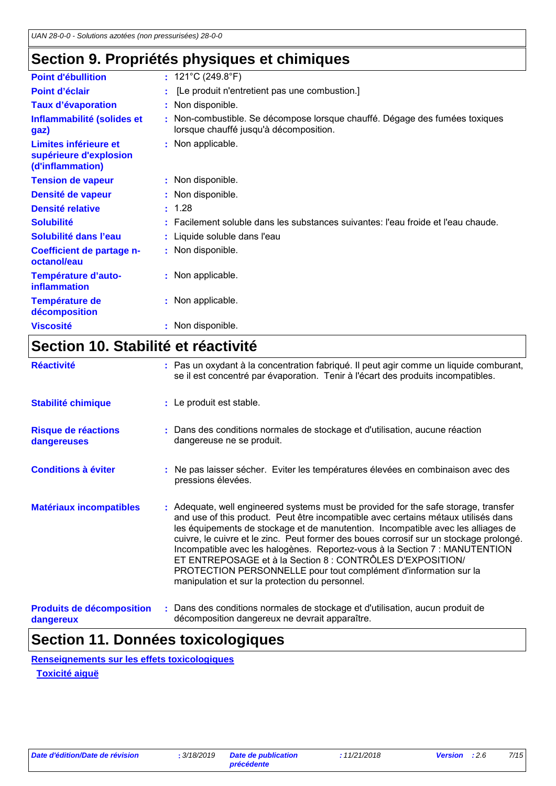## **Section 9. Propriétés physiques et chimiques**

| <b>Point d'ébullition</b>                                           | : $121^{\circ}$ C (249.8 $^{\circ}$ F)                                                                                |
|---------------------------------------------------------------------|-----------------------------------------------------------------------------------------------------------------------|
| Point d'éclair                                                      | [Le produit n'entretient pas une combustion.]                                                                         |
| <b>Taux d'évaporation</b>                                           | : Non disponible.                                                                                                     |
| Inflammabilité (solides et<br>gaz)                                  | : Non-combustible. Se décompose lorsque chauffé. Dégage des fumées toxiques<br>lorsque chauffé jusqu'à décomposition. |
| Limites inférieure et<br>supérieure d'explosion<br>(d'inflammation) | : Non applicable.                                                                                                     |
| <b>Tension de vapeur</b>                                            | : Non disponible.                                                                                                     |
| Densité de vapeur                                                   | : Non disponible.                                                                                                     |
| <b>Densité relative</b>                                             | : 1.28                                                                                                                |
| <b>Solubilité</b>                                                   | : Facilement soluble dans les substances suivantes: l'eau froide et l'eau chaude.                                     |
| Solubilité dans l'eau                                               | : Liquide soluble dans l'eau                                                                                          |
| Coefficient de partage n-<br>octanol/eau                            | : Non disponible.                                                                                                     |
| Température d'auto-<br>inflammation                                 | : Non applicable.                                                                                                     |
| <b>Température de</b><br>décomposition                              | : Non applicable.                                                                                                     |
| <b>Viscosité</b>                                                    | Non disponible.                                                                                                       |
|                                                                     |                                                                                                                       |

## **Section 10. Stabilité et réactivité**

| <b>Réactivité</b>                  | : Pas un oxydant à la concentration fabriqué. Il peut agir comme un liquide comburant,<br>se il est concentré par évaporation. Tenir à l'écart des produits incompatibles.                                                                                                                                                                                                                                                                                                                                                                                                                                                  |
|------------------------------------|-----------------------------------------------------------------------------------------------------------------------------------------------------------------------------------------------------------------------------------------------------------------------------------------------------------------------------------------------------------------------------------------------------------------------------------------------------------------------------------------------------------------------------------------------------------------------------------------------------------------------------|
| <b>Stabilité chimique</b>          | : Le produit est stable.                                                                                                                                                                                                                                                                                                                                                                                                                                                                                                                                                                                                    |
| Risque de réactions<br>dangereuses | : Dans des conditions normales de stockage et d'utilisation, aucune réaction<br>dangereuse ne se produit.                                                                                                                                                                                                                                                                                                                                                                                                                                                                                                                   |
| <b>Conditions à éviter</b>         | : Ne pas laisser sécher. Eviter les températures élevées en combinaison avec des<br>pressions élevées.                                                                                                                                                                                                                                                                                                                                                                                                                                                                                                                      |
| <b>Matériaux incompatibles</b>     | : Adequate, well engineered systems must be provided for the safe storage, transfer<br>and use of this product. Peut être incompatible avec certains métaux utilisés dans<br>les équipements de stockage et de manutention. Incompatible avec les alliages de<br>cuivre, le cuivre et le zinc. Peut former des boues corrosif sur un stockage prolongé.<br>Incompatible avec les halogènes. Reportez-vous à la Section 7 : MANUTENTION<br>ET ENTREPOSAGE et à la Section 8 : CONTRÔLES D'EXPOSITION/<br>PROTECTION PERSONNELLE pour tout complément d'information sur la<br>manipulation et sur la protection du personnel. |
| <b>Produits de décomposition</b>   | : Dans des conditions normales de stockage et d'utilisation, aucun produit de                                                                                                                                                                                                                                                                                                                                                                                                                                                                                                                                               |

**dangereux**

décomposition dangereux ne devrait apparaître.

## **Section 11. Données toxicologiques**

**Renseignements sur les effets toxicologiques**

**Toxicité aiguë**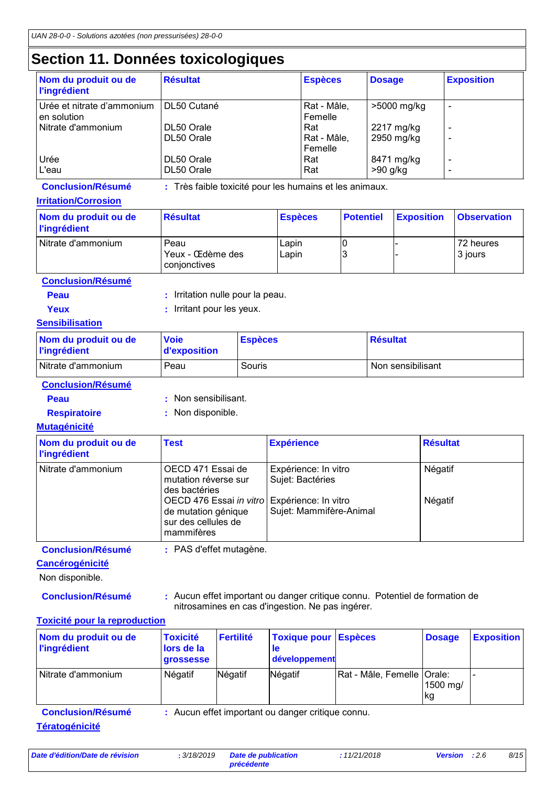## **Section 11. Données toxicologiques**

| Nom du produit ou de<br><b>l'ingrédient</b> | <b>Résultat</b>          | <b>Espèces</b>                | <b>Dosage</b>            | <b>Exposition</b>             |
|---------------------------------------------|--------------------------|-------------------------------|--------------------------|-------------------------------|
| Urée et nitrate d'ammonium<br>en solution   | DL50 Cutané              | Rat - Mâle,<br>Femelle        | >5000 mg/kg              | -                             |
| Nitrate d'ammonium                          | DL50 Orale<br>DL50 Orale | Rat<br>Rat - Mâle,<br>Femelle | 2217 mg/kg<br>2950 mg/kg | $\overline{\phantom{0}}$<br>- |
| Urée<br>L'eau                               | DL50 Orale<br>DL50 Orale | Rat<br>Rat                    | 8471 mg/kg<br>$>90$ g/kg | $\overline{\phantom{0}}$      |

**Conclusion/Résumé :** Très faible toxicité pour les humains et les animaux.

#### **Irritation/Corrosion**

| Nom du produit ou de<br><b>l'ingrédient</b> | <b>Résultat</b>                          | <b>Espèces</b> | <b>Potentiel</b> | <b>Exposition</b> | <b>Observation</b>   |
|---------------------------------------------|------------------------------------------|----------------|------------------|-------------------|----------------------|
| Nitrate d'ammonium                          | Peau<br>Yeux - Œdème des<br>conjonctives | Lapin<br>Lapin |                  |                   | 72 heures<br>3 jours |

**Conclusion/Résumé**

- **Peau** : Irritation nulle pour la peau.
- 
- **Yeux** : Irritant pour les yeux.

### **Sensibilisation**

| Nom du produit ou de<br><b>l'ingrédient</b> | <b>Voie</b><br>d'exposition | <b>Espèces</b> | <b>Résultat</b>   |
|---------------------------------------------|-----------------------------|----------------|-------------------|
| Nitrate d'ammonium                          | Peau                        | Souris         | Non sensibilisant |

**Conclusion/Résumé**

- 
- **Peau :** Non sensibilisant.
- 
- **Respiratoire :** Non disponible.

### **Mutagénicité**

| Nom du produit ou de<br><b>l'ingrédient</b> | <b>Test</b>                                                                                              | <b>Expérience</b>                        | <b>Résultat</b> |
|---------------------------------------------|----------------------------------------------------------------------------------------------------------|------------------------------------------|-----------------|
| Nitrate d'ammonium                          | OECD 471 Essai de<br>mutation réverse sur<br>des bactéries                                               | Expérience: In vitro<br>Sujet: Bactéries | Négatif         |
|                                             | OECD 476 Essai in vitro Expérience: In vitro<br>de mutation génique<br>sur des cellules de<br>mammifères | Sujet: Mammifère-Animal                  | Négatif         |

**Conclusion/Résumé :** PAS d'effet mutagène.

### **Cancérogénicité**

Non disponible.

**Conclusion/Résumé :** Aucun effet important ou danger critique connu. Potentiel de formation de nitrosamines en cas d'ingestion. Ne pas ingérer.

### **Toxicité pour la reproduction**

| Nom du produit ou de<br><b>l'ingrédient</b>                                                            | <b>Toxicité</b><br>lors de la<br><b>grossesse</b> | <b>Fertilité</b> | <b>Toxique pour</b><br><b>le</b><br>développement | <b>Espèces</b>             | <b>Dosage</b>  | <b>Exposition</b> |
|--------------------------------------------------------------------------------------------------------|---------------------------------------------------|------------------|---------------------------------------------------|----------------------------|----------------|-------------------|
| Nitrate d'ammonium                                                                                     | Négatif                                           | Négatif          | Négatif                                           | Rat - Mâle, Femelle Orale: | 1500 mg/<br>kg |                   |
| : Aucun effet important ou danger critique connu.<br><b>Conclusion/Résumé</b><br><b>Tératogénicité</b> |                                                   |                  |                                                   |                            |                |                   |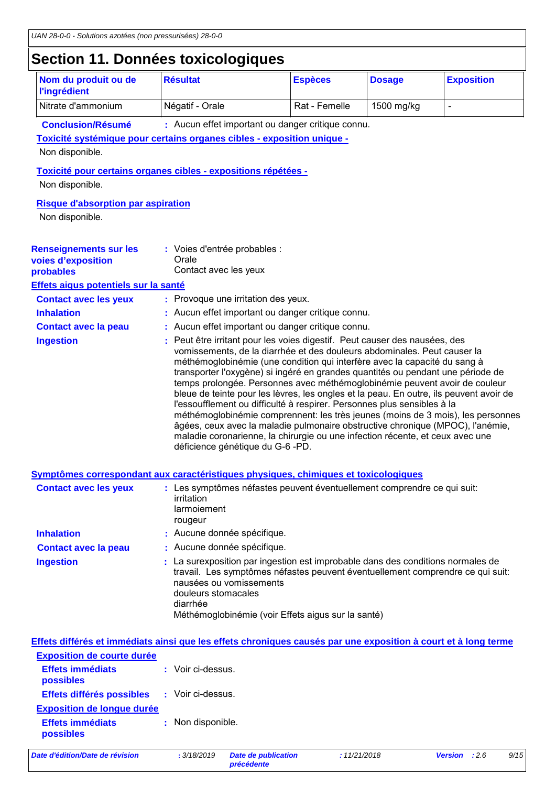### **Section 11. Données toxicologiques**

| Nom du produit ou de<br><b>l'ingrédient</b>                                                                         | <b>Résultat</b>                                            | <b>Espèces</b>                                                                                                                                                                                                                                                                                                                                                                                                                                                                                                                                                                                                                                                                                                                                    | <b>Dosage</b> | <b>Exposition</b> |  |
|---------------------------------------------------------------------------------------------------------------------|------------------------------------------------------------|---------------------------------------------------------------------------------------------------------------------------------------------------------------------------------------------------------------------------------------------------------------------------------------------------------------------------------------------------------------------------------------------------------------------------------------------------------------------------------------------------------------------------------------------------------------------------------------------------------------------------------------------------------------------------------------------------------------------------------------------------|---------------|-------------------|--|
| Nitrate d'ammonium                                                                                                  | Négatif - Orale                                            | Rat - Femelle                                                                                                                                                                                                                                                                                                                                                                                                                                                                                                                                                                                                                                                                                                                                     | 1500 mg/kg    | $\blacksquare$    |  |
| <b>Conclusion/Résumé</b>                                                                                            |                                                            | : Aucun effet important ou danger critique connu.                                                                                                                                                                                                                                                                                                                                                                                                                                                                                                                                                                                                                                                                                                 |               |                   |  |
| Toxicité systémique pour certains organes cibles - exposition unique -                                              |                                                            |                                                                                                                                                                                                                                                                                                                                                                                                                                                                                                                                                                                                                                                                                                                                                   |               |                   |  |
| Non disponible.                                                                                                     |                                                            |                                                                                                                                                                                                                                                                                                                                                                                                                                                                                                                                                                                                                                                                                                                                                   |               |                   |  |
| Toxicité pour certains organes cibles - expositions répétées -                                                      |                                                            |                                                                                                                                                                                                                                                                                                                                                                                                                                                                                                                                                                                                                                                                                                                                                   |               |                   |  |
| Non disponible.                                                                                                     |                                                            |                                                                                                                                                                                                                                                                                                                                                                                                                                                                                                                                                                                                                                                                                                                                                   |               |                   |  |
| <b>Risque d'absorption par aspiration</b>                                                                           |                                                            |                                                                                                                                                                                                                                                                                                                                                                                                                                                                                                                                                                                                                                                                                                                                                   |               |                   |  |
| Non disponible.                                                                                                     |                                                            |                                                                                                                                                                                                                                                                                                                                                                                                                                                                                                                                                                                                                                                                                                                                                   |               |                   |  |
|                                                                                                                     |                                                            |                                                                                                                                                                                                                                                                                                                                                                                                                                                                                                                                                                                                                                                                                                                                                   |               |                   |  |
| <b>Renseignements sur les</b>                                                                                       | : Voies d'entrée probables :                               |                                                                                                                                                                                                                                                                                                                                                                                                                                                                                                                                                                                                                                                                                                                                                   |               |                   |  |
| voies d'exposition                                                                                                  | Orale                                                      |                                                                                                                                                                                                                                                                                                                                                                                                                                                                                                                                                                                                                                                                                                                                                   |               |                   |  |
| probables                                                                                                           | Contact avec les yeux                                      |                                                                                                                                                                                                                                                                                                                                                                                                                                                                                                                                                                                                                                                                                                                                                   |               |                   |  |
| Effets aigus potentiels sur la santé                                                                                |                                                            |                                                                                                                                                                                                                                                                                                                                                                                                                                                                                                                                                                                                                                                                                                                                                   |               |                   |  |
| <b>Contact avec les yeux</b>                                                                                        | : Provoque une irritation des yeux.                        |                                                                                                                                                                                                                                                                                                                                                                                                                                                                                                                                                                                                                                                                                                                                                   |               |                   |  |
| <b>Inhalation</b>                                                                                                   |                                                            | : Aucun effet important ou danger critique connu.                                                                                                                                                                                                                                                                                                                                                                                                                                                                                                                                                                                                                                                                                                 |               |                   |  |
| <b>Contact avec la peau</b><br><b>Ingestion</b>                                                                     |                                                            | : Aucun effet important ou danger critique connu.<br>Peut être irritant pour les voies digestif. Peut causer des nausées, des                                                                                                                                                                                                                                                                                                                                                                                                                                                                                                                                                                                                                     |               |                   |  |
|                                                                                                                     | déficience génétique du G-6 -PD.                           | vomissements, de la diarrhée et des douleurs abdominales. Peut causer la<br>méthémoglobinémie (une condition qui interfère avec la capacité du sang à<br>transporter l'oxygène) si ingéré en grandes quantités ou pendant une période de<br>temps prolongée. Personnes avec méthémoglobinémie peuvent avoir de couleur<br>bleue de teinte pour les lèvres, les ongles et la peau. En outre, ils peuvent avoir de<br>l'essoufflement ou difficulté à respirer. Personnes plus sensibles à la<br>méthémoglobinémie comprennent: les très jeunes (moins de 3 mois), les personnes<br>âgées, ceux avec la maladie pulmonaire obstructive chronique (MPOC), l'anémie,<br>maladie coronarienne, la chirurgie ou une infection récente, et ceux avec une |               |                   |  |
|                                                                                                                     |                                                            |                                                                                                                                                                                                                                                                                                                                                                                                                                                                                                                                                                                                                                                                                                                                                   |               |                   |  |
| Symptômes correspondant aux caractéristiques physiques, chimiques et toxicologiques<br><b>Contact avec les yeux</b> | irritation<br>larmoiement<br>rougeur                       | : Les symptômes néfastes peuvent éventuellement comprendre ce qui suit:                                                                                                                                                                                                                                                                                                                                                                                                                                                                                                                                                                                                                                                                           |               |                   |  |
| <b>Inhalation</b>                                                                                                   | : Aucune donnée spécifique.                                |                                                                                                                                                                                                                                                                                                                                                                                                                                                                                                                                                                                                                                                                                                                                                   |               |                   |  |
| <b>Contact avec la peau</b>                                                                                         | : Aucune donnée spécifique.                                |                                                                                                                                                                                                                                                                                                                                                                                                                                                                                                                                                                                                                                                                                                                                                   |               |                   |  |
| <b>Ingestion</b>                                                                                                    | nausées ou vomissements<br>douleurs stomacales<br>diarrhée | : La surexposition par ingestion est improbable dans des conditions normales de<br>travail. Les symptômes néfastes peuvent éventuellement comprendre ce qui suit:<br>Méthémoglobinémie (voir Effets aigus sur la santé)                                                                                                                                                                                                                                                                                                                                                                                                                                                                                                                           |               |                   |  |
| Effets différés et immédiats ainsi que les effets chroniques causés par une exposition à court et à long terme      |                                                            |                                                                                                                                                                                                                                                                                                                                                                                                                                                                                                                                                                                                                                                                                                                                                   |               |                   |  |
| <b>Exposition de courte durée</b>                                                                                   |                                                            |                                                                                                                                                                                                                                                                                                                                                                                                                                                                                                                                                                                                                                                                                                                                                   |               |                   |  |
|                                                                                                                     |                                                            |                                                                                                                                                                                                                                                                                                                                                                                                                                                                                                                                                                                                                                                                                                                                                   |               |                   |  |

| <b>Effets immédiats</b><br>possibles | : Voir ci-dessus. |
|--------------------------------------|-------------------|
| Effets différés possibles            | : Voir ci-dessus. |
| <b>Exposition de longue durée</b>    |                   |
| <b>Effets immédiats</b><br>possibles | : Non disponible. |
|                                      |                   |

*Date d'édition/Date de révision* **:** *3/18/2019 Date de publication* 

**Date de publication<br>précédente**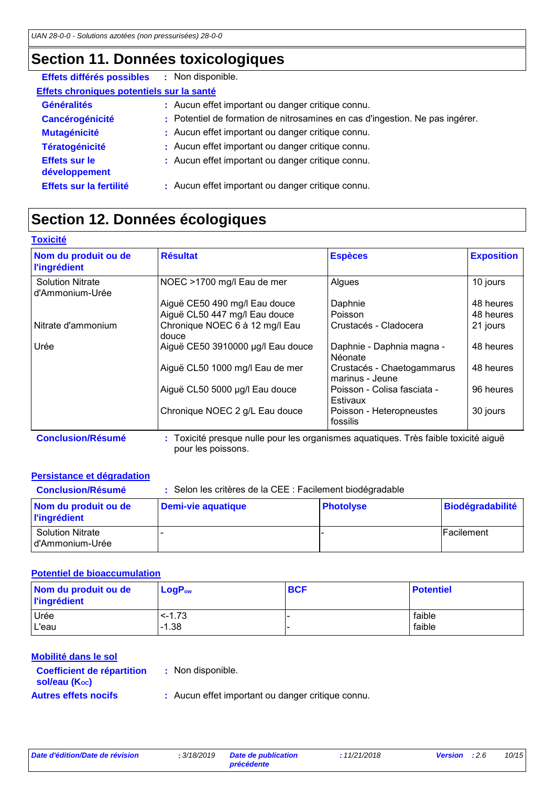## **Section 11. Données toxicologiques**

| Effets différés possibles                 | : Non disponible.                                                            |  |
|-------------------------------------------|------------------------------------------------------------------------------|--|
| Effets chroniques potentiels sur la santé |                                                                              |  |
| <b>Généralités</b>                        | : Aucun effet important ou danger critique connu.                            |  |
| <b>Cancérogénicité</b>                    | : Potentiel de formation de nitrosamines en cas d'ingestion. Ne pas ingérer. |  |
| <b>Mutagénicité</b>                       | : Aucun effet important ou danger critique connu.                            |  |
| <b>Tératogénicité</b>                     | : Aucun effet important ou danger critique connu.                            |  |
| <b>Effets sur le</b><br>développement     | : Aucun effet important ou danger critique connu.                            |  |
| Effets sur la fertilité                   | : Aucun effet important ou danger critique connu.                            |  |

## **Section 12. Données écologiques**

| <b>Toxicité</b>                             |                                                                                     |                                               |                   |
|---------------------------------------------|-------------------------------------------------------------------------------------|-----------------------------------------------|-------------------|
| Nom du produit ou de<br><b>l'ingrédient</b> | <b>Résultat</b>                                                                     | <b>Espèces</b>                                | <b>Exposition</b> |
| <b>Solution Nitrate</b><br>d'Ammonium-Urée  | NOEC >1700 mg/l Eau de mer                                                          | Algues                                        | 10 jours          |
|                                             | Aiguë CE50 490 mg/l Eau douce                                                       | Daphnie                                       | 48 heures         |
|                                             | Aiguë CL50 447 mg/l Eau douce                                                       | Poisson                                       | 48 heures         |
| Nitrate d'ammonium                          | Chronique NOEC 6 à 12 mg/l Eau<br>douce                                             | Crustacés - Cladocera                         | 21 jours          |
| Urée                                        | Aiguë CE50 3910000 µg/l Eau douce                                                   | Daphnie - Daphnia magna -<br>Néonate          | 48 heures         |
|                                             | Aiguë CL50 1000 mg/l Eau de mer                                                     | Crustacés - Chaetogammarus<br>marinus - Jeune | 48 heures         |
|                                             | Aiguë CL50 5000 µg/l Eau douce                                                      | Poisson - Colisa fasciata -<br>Estivaux       | 96 heures         |
|                                             | Chronique NOEC 2 g/L Eau douce                                                      | Poisson - Heteropneustes<br>fossilis          | 30 jours          |
| <b>Conclusion/Résumé</b>                    | : Toxicité presque nulle pour les organismes aquatiques. Très faible toxicité aiguë |                                               |                   |

pour les poissons.

### **Persistance et dégradation**

| <b>Conclusion/Résumé</b>                    | : Selon les critères de la CEE : Facilement biodégradable |                  |                  |  |
|---------------------------------------------|-----------------------------------------------------------|------------------|------------------|--|
| Nom du produit ou de<br><b>l'ingrédient</b> | <b>Demi-vie aquatique</b>                                 | <b>Photolyse</b> | Biodégradabilité |  |
| <b>Solution Nitrate</b><br>d'Ammonium-Urée  |                                                           |                  | lFacilement      |  |

### **Potentiel de bioaccumulation**

| Nom du produit ou de<br><b>l'ingrédient</b> | $LogP_{ow}$ | <b>BCF</b> | <b>Potentiel</b> |
|---------------------------------------------|-------------|------------|------------------|
| Urée                                        | $< -1.73$   |            | faible           |
| L'eau                                       | $-1.38$     |            | faible           |

### **Mobilité dans le sol**

| <b>Coefficient de répartition</b> | : N |
|-----------------------------------|-----|
| sol/eau (Koc)                     |     |
| <b>Autres effets nocifs</b>       | : A |

- **:** Non disponible.
	- Aucun effet important ou danger critique connu.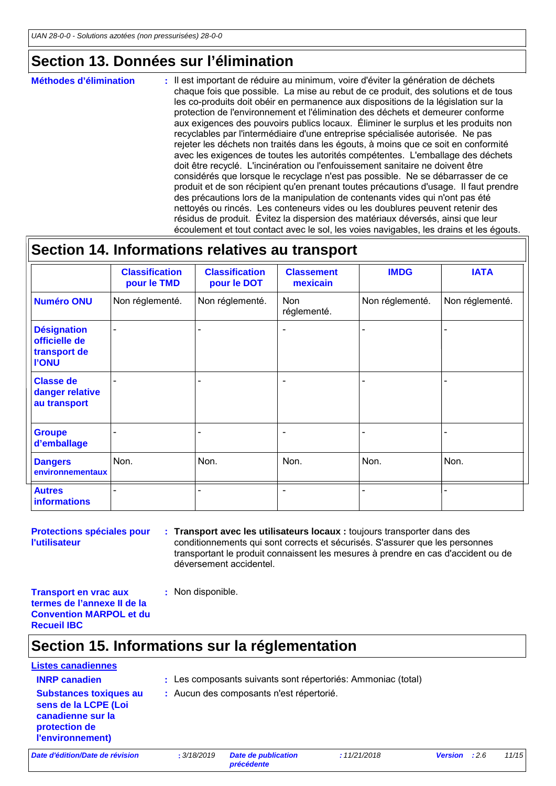### **Section 13. Données sur l'élimination**

: Il est important de réduire au minimum, voire d'éviter la génération de déchets chaque fois que possible. La mise au rebut de ce produit, des solutions et de tous les co-produits doit obéir en permanence aux dispositions de la législation sur la protection de l'environnement et l'élimination des déchets et demeurer conforme aux exigences des pouvoirs publics locaux. Éliminer le surplus et les produits non recyclables par l'intermédiaire d'une entreprise spécialisée autorisée. Ne pas rejeter les déchets non traités dans les égouts, à moins que ce soit en conformité avec les exigences de toutes les autorités compétentes. L'emballage des déchets doit être recyclé. L'incinération ou l'enfouissement sanitaire ne doivent être considérés que lorsque le recyclage n'est pas possible. Ne se débarrasser de ce produit et de son récipient qu'en prenant toutes précautions d'usage. Il faut prendre des précautions lors de la manipulation de contenants vides qui n'ont pas été nettoyés ou rincés. Les conteneurs vides ou les doublures peuvent retenir des résidus de produit. Évitez la dispersion des matériaux déversés, ainsi que leur écoulement et tout contact avec le sol, les voies navigables, les drains et les égouts. **Méthodes d'élimination :**

### **Section 14. Informations relatives au transport**

|                                                                     | <b>Classification</b><br>pour le TMD | <b>Classification</b><br>pour le DOT | <b>Classement</b><br>mexicain | <b>IMDG</b>     | <b>IATA</b>              |
|---------------------------------------------------------------------|--------------------------------------|--------------------------------------|-------------------------------|-----------------|--------------------------|
| <b>Numéro ONU</b>                                                   | Non réglementé.                      | Non réglementé.                      | Non<br>réglementé.            | Non réglementé. | Non réglementé.          |
| <b>Désignation</b><br>officielle de<br>transport de<br><b>I'ONU</b> |                                      |                                      |                               |                 | $\overline{\phantom{0}}$ |
| <b>Classe de</b><br>danger relative<br>au transport                 |                                      |                                      | ٠                             | ۰               | $\blacksquare$           |
| <b>Groupe</b><br>d'emballage                                        |                                      |                                      |                               |                 | $\blacksquare$           |
| <b>Dangers</b><br>environnementaux                                  | Non.                                 | Non.                                 | Non.                          | Non.            | Non.                     |
| <b>Autres</b><br><b>informations</b>                                |                                      |                                      |                               |                 |                          |

**Protections spéciales pour l'utilisateur**

- **Transport avec les utilisateurs locaux :** toujours transporter dans des **:** conditionnements qui sont corrects et sécurisés. S'assurer que les personnes transportant le produit connaissent les mesures à prendre en cas d'accident ou de déversement accidentel.
- **Transport en vrac aux termes de l'annexe II de la Convention MARPOL et du Recueil IBC**

### **Section 15. Informations sur la réglementation**

**:** Non disponible.

# **Listes canadiennes**

- **INRP canadien :** Les composants suivants sont répertoriés: Ammoniac (total)
- **Substances toxiques au sens de la LCPE (Loi canadienne sur la protection de l'environnement)**
- **:** Aucun des composants n'est répertorié.

*Date d'édition/Date de révision* **:** *3/18/2019 Date de publication*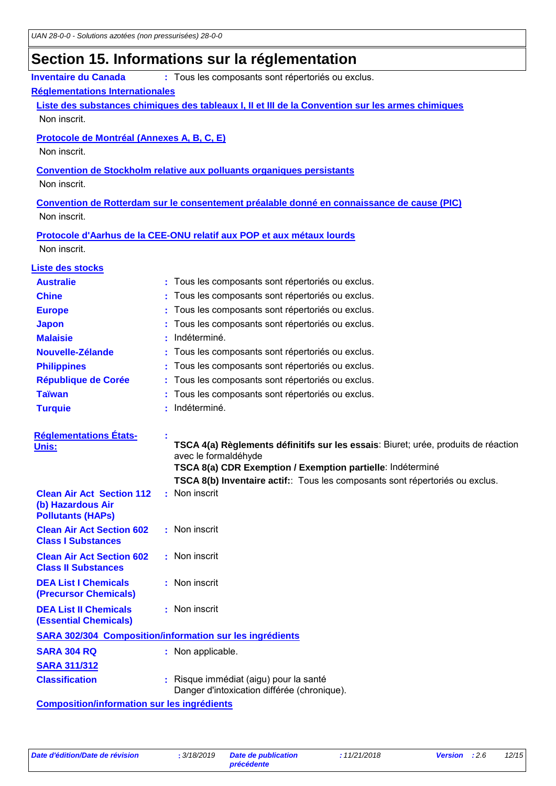## **Section 15. Informations sur la réglementation**

| <b>Inventaire du Canada</b>                                    | : Tous les composants sont répertoriés ou exclus.                                                          |
|----------------------------------------------------------------|------------------------------------------------------------------------------------------------------------|
| <b>Réglementations Internationales</b>                         |                                                                                                            |
|                                                                | Liste des substances chimiques des tableaux I, II et III de la Convention sur les armes chimiques          |
| Non inscrit.                                                   |                                                                                                            |
| Protocole de Montréal (Annexes A, B, C, E)                     |                                                                                                            |
| Non inscrit.                                                   |                                                                                                            |
|                                                                | <b>Convention de Stockholm relative aux polluants organiques persistants</b>                               |
| Non inscrit.                                                   |                                                                                                            |
|                                                                | Convention de Rotterdam sur le consentement préalable donné en connaissance de cause (PIC)                 |
| Non inscrit.                                                   |                                                                                                            |
|                                                                | Protocole d'Aarhus de la CEE-ONU relatif aux POP et aux métaux lourds                                      |
| Non inscrit.                                                   |                                                                                                            |
| Liste des stocks                                               |                                                                                                            |
| <b>Australie</b>                                               | : Tous les composants sont répertoriés ou exclus.                                                          |
| <b>Chine</b>                                                   | Tous les composants sont répertoriés ou exclus.                                                            |
| <b>Europe</b>                                                  | Tous les composants sont répertoriés ou exclus.                                                            |
| <b>Japon</b>                                                   | Tous les composants sont répertoriés ou exclus.                                                            |
| <b>Malaisie</b>                                                | Indéterminé.                                                                                               |
| Nouvelle-Zélande                                               | Tous les composants sont répertoriés ou exclus.                                                            |
| <b>Philippines</b>                                             | Tous les composants sont répertoriés ou exclus.                                                            |
| République de Corée                                            | Tous les composants sont répertoriés ou exclus.                                                            |
| <b>Taïwan</b>                                                  | Tous les composants sont répertoriés ou exclus.                                                            |
| <b>Turquie</b>                                                 | Indéterminé.                                                                                               |
|                                                                |                                                                                                            |
| <b>Réglementations États-</b>                                  |                                                                                                            |
| Unis:                                                          | TSCA 4(a) Règlements définitifs sur les essais: Biuret; urée, produits de réaction<br>avec le formaldéhyde |
|                                                                | TSCA 8(a) CDR Exemption / Exemption partielle: Indéterminé                                                 |
|                                                                | TSCA 8(b) Inventaire actif: Tous les composants sont répertoriés ou exclus.                                |
| <b>Clean Air Act Section 112</b>                               | : Non inscrit                                                                                              |
| (b) Hazardous Air                                              |                                                                                                            |
| <b>Pollutants (HAPs)</b>                                       |                                                                                                            |
| <b>Clean Air Act Section 602</b><br><b>Class I Substances</b>  | : Non inscrit                                                                                              |
| <b>Clean Air Act Section 602</b><br><b>Class II Substances</b> | : Non inscrit                                                                                              |
| <b>DEA List I Chemicals</b><br><b>(Precursor Chemicals)</b>    | : Non inscrit                                                                                              |
| <b>DEA List II Chemicals</b><br><b>(Essential Chemicals)</b>   | : Non inscrit                                                                                              |
|                                                                | <b>SARA 302/304 Composition/information sur les ingrédients</b>                                            |
| <b>SARA 304 RQ</b>                                             | : Non applicable.                                                                                          |
| <b>SARA 311/312</b>                                            |                                                                                                            |
| <b>Classification</b>                                          | : Risque immédiat (aigu) pour la santé                                                                     |
|                                                                | Danger d'intoxication différée (chronique).                                                                |
|                                                                |                                                                                                            |

**Composition/information sur les ingrédients**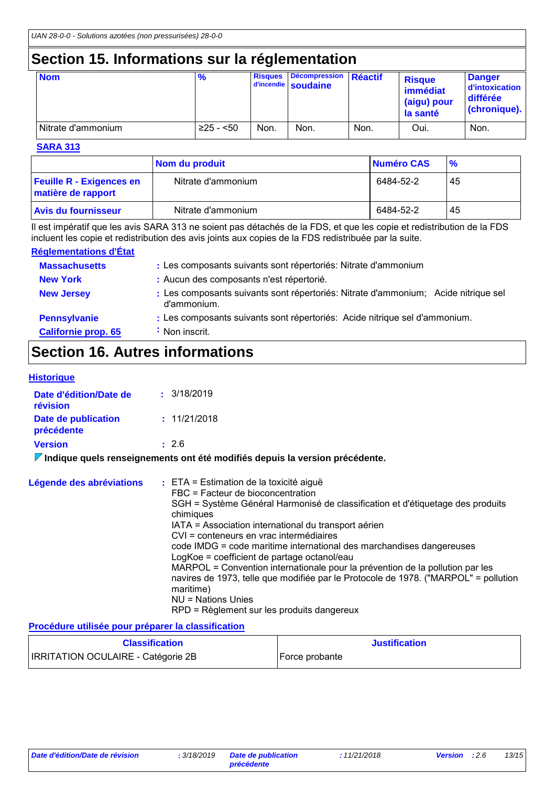## **Section 15. Informations sur la réglementation**

| <b>Nom</b>         | $\frac{9}{6}$ | <b>Risques</b> | Décompression Réactif<br>d'incendie soudaine |      | <b>Risque</b><br>immédiat<br>(aigu) pour<br>la santé | <b>Danger</b><br>d'intoxication<br>différée<br>(chronique). |
|--------------------|---------------|----------------|----------------------------------------------|------|------------------------------------------------------|-------------------------------------------------------------|
| Nitrate d'ammonium | $≥25 - 50$    | Non.           | Non.                                         | Non. | Oui.                                                 | Non.                                                        |

#### **SARA 313**

|                                                       | Nom du produit     | Numéro CAS | $\frac{9}{6}$ |
|-------------------------------------------------------|--------------------|------------|---------------|
| <b>Feuille R - Exigences en</b><br>matière de rapport | Nitrate d'ammonium | 6484-52-2  | -45           |
| <b>Avis du fournisseur</b>                            | Nitrate d'ammonium | 6484-52-2  | 45            |

Il est impératif que les avis SARA 313 ne soient pas détachés de la FDS, et que les copie et redistribution de la FDS incluent les copie et redistribution des avis joints aux copies de la FDS redistribuée par la suite.

#### **Réglementations d'État**

| <b>Massachusetts</b>       | : Les composants suivants sont répertoriés: Nitrate d'ammonium                                    |
|----------------------------|---------------------------------------------------------------------------------------------------|
| <b>New York</b>            | : Aucun des composants n'est répertorié.                                                          |
| <b>New Jersey</b>          | : Les composants suivants sont répertoriés: Nitrate d'ammonium; Acide nitrique sel<br>d'ammonium. |
| <b>Pennsylvanie</b>        | : Les composants suivants sont répertoriés: Acide nitrique sel d'ammonium.                        |
| <b>Californie prop. 65</b> | : Non inscrit.                                                                                    |

## **Section 16. Autres informations**

|  |  | <b>Historique</b> |
|--|--|-------------------|
|  |  |                   |

| Date d'édition/Date de<br>révision | : 3/18/2019  |
|------------------------------------|--------------|
| Date de publication<br>précédente  | : 11/21/2018 |
| <b>Version</b>                     | $\pm 2.6$    |

**Indique quels renseignements ont été modifiés depuis la version précédente.**

| Légende des abréviations | $:$ ETA = Estimation de la toxicité aiguë<br>FBC = Facteur de bioconcentration<br>SGH = Système Général Harmonisé de classification et d'étiquetage des produits |
|--------------------------|------------------------------------------------------------------------------------------------------------------------------------------------------------------|
|                          | chimiques                                                                                                                                                        |
|                          | IATA = Association international du transport aérien                                                                                                             |
|                          | CVI = conteneurs en vrac intermédiaires                                                                                                                          |
|                          | code IMDG = code maritime international des marchandises dangereuses                                                                                             |
|                          | LogKoe = coefficient de partage octanol/eau                                                                                                                      |
|                          | MARPOL = Convention internationale pour la prévention de la pollution par les                                                                                    |
|                          | navires de 1973, telle que modifiée par le Protocole de 1978. ("MARPOL" = pollution<br>maritime)                                                                 |
|                          | NU = Nations Unies                                                                                                                                               |
|                          | RPD = Règlement sur les produits dangereux                                                                                                                       |

### **Procédure utilisée pour préparer la classification**

| <b>Classification</b>                     | <b>Justification</b> |
|-------------------------------------------|----------------------|
| <b>IRRITATION OCULAIRE - Catégorie 2B</b> | Force probante       |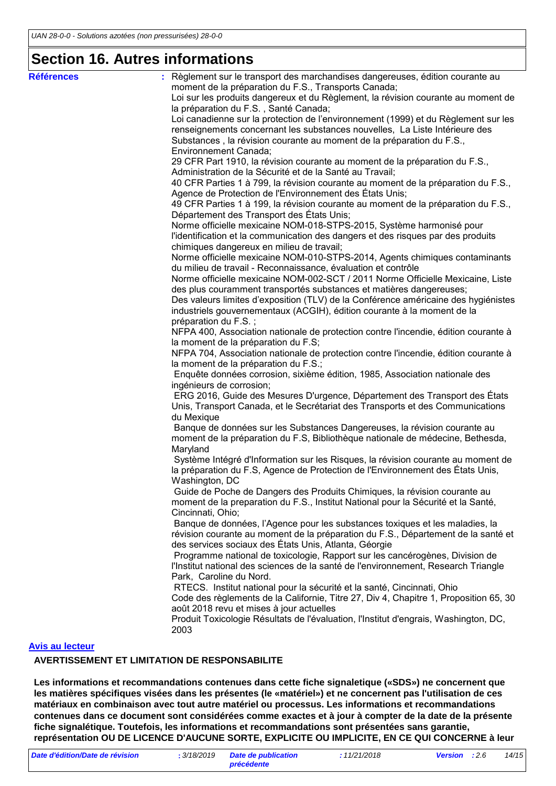### **Section 16. Autres informations**

| <b>Références</b><br>Règlement sur le transport des marchandises dangereuses, édition courante au<br>moment de la préparation du F.S., Transports Canada; |  |
|-----------------------------------------------------------------------------------------------------------------------------------------------------------|--|
| Loi sur les produits dangereux et du Règlement, la révision courante au moment de                                                                         |  |
| la préparation du F.S., Santé Canada;                                                                                                                     |  |
| Loi canadienne sur la protection de l'environnement (1999) et du Règlement sur les                                                                        |  |
| renseignements concernant les substances nouvelles, La Liste Intérieure des                                                                               |  |
| Substances, la révision courante au moment de la préparation du F.S.,                                                                                     |  |
| Environnement Canada;                                                                                                                                     |  |
| 29 CFR Part 1910, la révision courante au moment de la préparation du F.S.,                                                                               |  |
| Administration de la Sécurité et de la Santé au Travail;                                                                                                  |  |
| 40 CFR Parties 1 à 799, la révision courante au moment de la préparation du F.S.,                                                                         |  |
| Agence de Protection de l'Environnement des États Unis;                                                                                                   |  |
| 49 CFR Parties 1 à 199, la révision courante au moment de la préparation du F.S.,                                                                         |  |
| Département des Transport des États Unis;                                                                                                                 |  |
| Norme officielle mexicaine NOM-018-STPS-2015, Système harmonisé pour                                                                                      |  |
| l'identification et la communication des dangers et des risques par des produits                                                                          |  |
| chimiques dangereux en milieu de travail;                                                                                                                 |  |
| Norme officielle mexicaine NOM-010-STPS-2014, Agents chimiques contaminants                                                                               |  |
| du milieu de travail - Reconnaissance, évaluation et contrôle                                                                                             |  |
| Norme officielle mexicaine NOM-002-SCT / 2011 Norme Officielle Mexicaine, Liste                                                                           |  |
| des plus couramment transportés substances et matières dangereuses;                                                                                       |  |
| Des valeurs limites d'exposition (TLV) de la Conférence américaine des hygiénistes                                                                        |  |
| industriels gouvernementaux (ACGIH), édition courante à la moment de la                                                                                   |  |
| préparation du F.S.;                                                                                                                                      |  |
| NFPA 400, Association nationale de protection contre l'incendie, édition courante à<br>la moment de la préparation du F.S;                                |  |
| NFPA 704, Association nationale de protection contre l'incendie, édition courante à                                                                       |  |
| la moment de la préparation du F.S.;                                                                                                                      |  |
| Enquête données corrosion, sixième édition, 1985, Association nationale des                                                                               |  |
| ingénieurs de corrosion;                                                                                                                                  |  |
| ERG 2016, Guide des Mesures D'urgence, Département des Transport des États                                                                                |  |
| Unis, Transport Canada, et le Secrétariat des Transports et des Communications                                                                            |  |
| du Mexique                                                                                                                                                |  |
| Banque de données sur les Substances Dangereuses, la révision courante au                                                                                 |  |
| moment de la préparation du F.S, Bibliothèque nationale de médecine, Bethesda,                                                                            |  |
| Maryland                                                                                                                                                  |  |
| Système Intégré d'Information sur les Risques, la révision courante au moment de                                                                          |  |
| la préparation du F.S, Agence de Protection de l'Environnement des États Unis,                                                                            |  |
| Washington, DC                                                                                                                                            |  |
| Guide de Poche de Dangers des Produits Chimiques, la révision courante au                                                                                 |  |
| moment de la preparation du F.S., Institut National pour la Sécurité et la Santé,                                                                         |  |
| Cincinnati, Ohio;                                                                                                                                         |  |
| Banque de données, l'Agence pour les substances toxiques et les maladies, la                                                                              |  |
| révision courante au moment de la préparation du F.S., Département de la santé et<br>des services sociaux des États Unis, Atlanta, Géorgie                |  |
| Programme national de toxicologie, Rapport sur les cancérogènes, Division de                                                                              |  |
| l'Institut national des sciences de la santé de l'environnement, Research Triangle                                                                        |  |
| Park, Caroline du Nord.                                                                                                                                   |  |
| RTECS. Institut national pour la sécurité et la santé, Cincinnati, Ohio                                                                                   |  |
| Code des règlements de la Californie, Titre 27, Div 4, Chapitre 1, Proposition 65, 30                                                                     |  |
| août 2018 revu et mises à jour actuelles                                                                                                                  |  |
| Produit Toxicologie Résultats de l'évaluation, l'Institut d'engrais, Washington, DC,                                                                      |  |
| 2003                                                                                                                                                      |  |
|                                                                                                                                                           |  |
| <b>Avis au lecteur</b><br>AVERTISSEMENT ET LIMITATION DE RESPONSABILITE                                                                                   |  |

**Les informations et recommandations contenues dans cette fiche signaletique («SDS») ne concernent que les matières spécifiques visées dans les présentes (le «matériel») et ne concernent pas l'utilisation de ces matériaux en combinaison avec tout autre matériel ou processus. Les informations et recommandations contenues dans ce document sont considérées comme exactes et à jour à compter de la date de la présente fiche signalétique. Toutefois, les informations et recommandations sont présentées sans garantie, représentation OU DE LICENCE D'AUCUNE SORTE, EXPLICITE OU IMPLICITE, EN CE QUI CONCERNE à leur** 

*précédente*